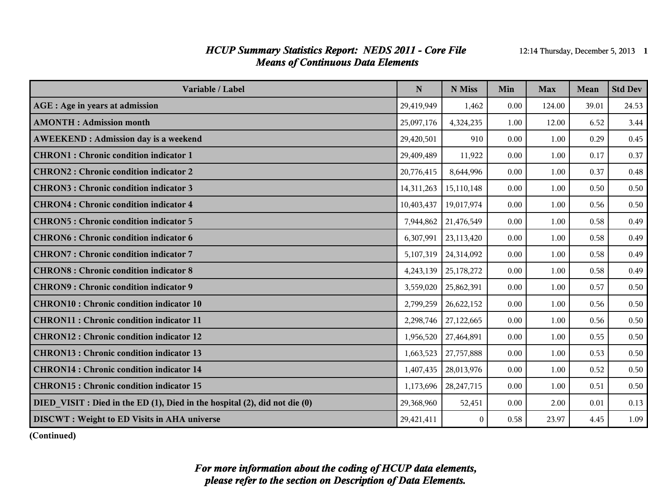#### *HCUP Summary Statistics Report: NEDS 2011 - Core File* 12:14 Thursday, December 5, 2013 1 *Means of Continuous Data Elements*

| Variable / Label                                                           | ${\bf N}$  | N Miss                 | Min  | <b>Max</b> | Mean  | <b>Std Dev</b> |
|----------------------------------------------------------------------------|------------|------------------------|------|------------|-------|----------------|
| AGE : Age in years at admission                                            | 29,419,949 | 1,462                  | 0.00 | 124.00     | 39.01 | 24.53          |
| <b>AMONTH</b> : Admission month                                            | 25,097,176 | 4,324,235              | 1.00 | 12.00      | 6.52  | 3.44           |
| <b>AWEEKEND: Admission day is a weekend</b>                                | 29,420,501 | 910                    | 0.00 | 1.00       | 0.29  | 0.45           |
| <b>CHRON1</b> : Chronic condition indicator 1                              | 29,409,489 | 11,922                 | 0.00 | 1.00       | 0.17  | 0.37           |
| <b>CHRON2</b> : Chronic condition indicator 2                              | 20,776,415 | 8,644,996              | 0.00 | 1.00       | 0.37  | 0.48           |
| <b>CHRON3</b> : Chronic condition indicator 3                              | 14,311,263 | 15,110,148             | 0.00 | 1.00       | 0.50  | 0.50           |
| <b>CHRON4</b> : Chronic condition indicator 4                              | 10,403,437 | 19,017,974             | 0.00 | 1.00       | 0.56  | 0.50           |
| <b>CHRON5: Chronic condition indicator 5</b>                               | 7,944,862  | 21,476,549             | 0.00 | 1.00       | 0.58  | 0.49           |
| <b>CHRON6: Chronic condition indicator 6</b>                               | 6,307,991  | 23,113,420             | 0.00 | 1.00       | 0.58  | 0.49           |
| <b>CHRON7: Chronic condition indicator 7</b>                               |            | 5,107,319   24,314,092 | 0.00 | 1.00       | 0.58  | 0.49           |
| <b>CHRON8</b> : Chronic condition indicator 8                              | 4,243,139  | 25,178,272             | 0.00 | 1.00       | 0.58  | 0.49           |
| <b>CHRON9</b> : Chronic condition indicator 9                              | 3,559,020  | 25,862,391             | 0.00 | 1.00       | 0.57  | 0.50           |
| <b>CHRON10: Chronic condition indicator 10</b>                             | 2,799,259  | 26,622,152             | 0.00 | 1.00       | 0.56  | 0.50           |
| <b>CHRON11 : Chronic condition indicator 11</b>                            | 2,298,746  | 27,122,665             | 0.00 | 1.00       | 0.56  | 0.50           |
| <b>CHRON12: Chronic condition indicator 12</b>                             | 1,956,520  | 27,464,891             | 0.00 | 1.00       | 0.55  | 0.50           |
| <b>CHRON13: Chronic condition indicator 13</b>                             | 1,663,523  | 27,757,888             | 0.00 | 1.00       | 0.53  | 0.50           |
| <b>CHRON14</b> : Chronic condition indicator 14                            | 1,407,435  | 28,013,976             | 0.00 | 1.00       | 0.52  | 0.50           |
| <b>CHRON15: Chronic condition indicator 15</b>                             | 1,173,696  | 28, 247, 715           | 0.00 | 1.00       | 0.51  | 0.50           |
| DIED_VISIT : Died in the ED (1), Died in the hospital (2), did not die (0) | 29,368,960 | 52,451                 | 0.00 | 2.00       | 0.01  | 0.13           |
| <b>DISCWT</b> : Weight to ED Visits in AHA universe                        | 29,421,411 | $\theta$               | 0.58 | 23.97      | 4.45  | 1.09           |

**(Continued)**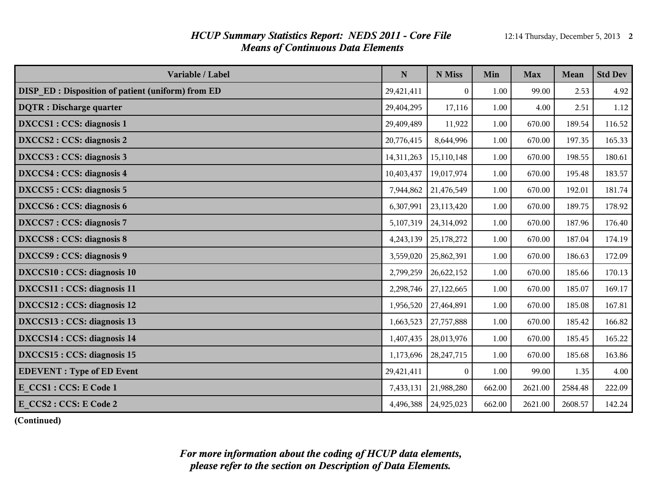#### *HCUP Summary Statistics Report: NEDS 2011 - Core File* 12:14 Thursday, December 5, 2013 2 *Means of Continuous Data Elements*

| Variable / Label                                          | ${\bf N}$  | N Miss           | Min    | <b>Max</b> | <b>Mean</b> | <b>Std Dev</b> |
|-----------------------------------------------------------|------------|------------------|--------|------------|-------------|----------------|
| <b>DISP_ED</b> : Disposition of patient (uniform) from ED | 29,421,411 | $\boldsymbol{0}$ | 1.00   | 99.00      | 2.53        | 4.92           |
| <b>DQTR</b> : Discharge quarter                           | 29,404,295 | 17,116           | 1.00   | 4.00       | 2.51        | 1.12           |
| DXCCS1 : CCS: diagnosis 1                                 | 29,409,489 | 11,922           | 1.00   | 670.00     | 189.54      | 116.52         |
| DXCCS2 : CCS: diagnosis 2                                 | 20,776,415 | 8,644,996        | 1.00   | 670.00     | 197.35      | 165.33         |
| DXCCS3 : CCS: diagnosis 3                                 | 14,311,263 | 15,110,148       | 1.00   | 670.00     | 198.55      | 180.61         |
| DXCCS4 : CCS: diagnosis 4                                 | 10,403,437 | 19,017,974       | 1.00   | 670.00     | 195.48      | 183.57         |
| DXCCS5 : CCS: diagnosis 5                                 | 7,944,862  | 21,476,549       | 1.00   | 670.00     | 192.01      | 181.74         |
| DXCCS6 : CCS: diagnosis 6                                 | 6,307,991  | 23,113,420       | 1.00   | 670.00     | 189.75      | 178.92         |
| DXCCS7: CCS: diagnosis 7                                  | 5,107,319  | 24,314,092       | 1.00   | 670.00     | 187.96      | 176.40         |
| DXCCS8 : CCS: diagnosis 8                                 | 4,243,139  | 25,178,272       | 1.00   | 670.00     | 187.04      | 174.19         |
| DXCCS9 : CCS: diagnosis 9                                 | 3,559,020  | 25,862,391       | 1.00   | 670.00     | 186.63      | 172.09         |
| DXCCS10 : CCS: diagnosis 10                               | 2,799,259  | 26,622,152       | 1.00   | 670.00     | 185.66      | 170.13         |
| DXCCS11 : CCS: diagnosis 11                               | 2,298,746  | 27,122,665       | 1.00   | 670.00     | 185.07      | 169.17         |
| DXCCS12 : CCS: diagnosis 12                               | 1,956,520  | 27,464,891       | 1.00   | 670.00     | 185.08      | 167.81         |
| DXCCS13 : CCS: diagnosis 13                               | 1,663,523  | 27,757,888       | 1.00   | 670.00     | 185.42      | 166.82         |
| DXCCS14 : CCS: diagnosis 14                               | 1,407,435  | 28,013,976       | 1.00   | 670.00     | 185.45      | 165.22         |
| DXCCS15 : CCS: diagnosis 15                               | 1,173,696  | 28, 247, 715     | 1.00   | 670.00     | 185.68      | 163.86         |
| <b>EDEVENT</b> : Type of ED Event                         | 29,421,411 | $\theta$         | 1.00   | 99.00      | 1.35        | 4.00           |
| E CCS1 : CCS: E Code 1                                    | 7,433,131  | 21,988,280       | 662.00 | 2621.00    | 2584.48     | 222.09         |
| E CCS2 : CCS: E Code 2                                    | 4,496,388  | 24,925,023       | 662.00 | 2621.00    | 2608.57     | 142.24         |

**(Continued)**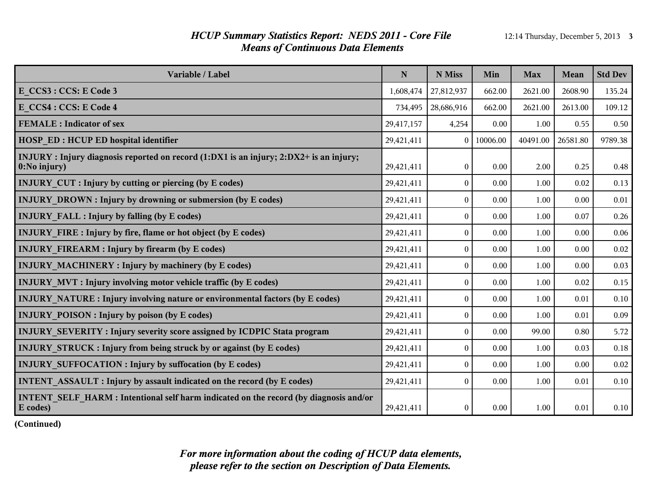#### *HCUP Summary Statistics Report: NEDS 2011 - Core File* 12:14 Thursday, December 5, 2013 3 *Means of Continuous Data Elements*

| Variable / Label                                                                                              | N          | N Miss       | Min      | <b>Max</b> | Mean     | <b>Std Dev</b> |
|---------------------------------------------------------------------------------------------------------------|------------|--------------|----------|------------|----------|----------------|
| E CCS3 : CCS: E Code 3                                                                                        | 1,608,474  | 27,812,937   | 662.00   | 2621.00    | 2608.90  | 135.24         |
| E CCS4 : CCS: E Code 4                                                                                        | 734,495    | 28,686,916   | 662.00   | 2621.00    | 2613.00  | 109.12         |
| <b>FEMALE</b> : Indicator of sex                                                                              | 29,417,157 | 4,254        | 0.00     | 1.00       | 0.55     | 0.50           |
| <b>HOSP ED: HCUP ED hospital identifier</b>                                                                   | 29,421,411 | $\theta$     | 10006.00 | 40491.00   | 26581.80 | 9789.38        |
| INJURY: Injury diagnosis reported on record (1:DX1 is an injury; 2:DX2+ is an injury;<br>$\vert$ 0:No injury) | 29,421,411 | $\mathbf{0}$ | 0.00     | 2.00       | 0.25     | 0.48           |
| <b>INJURY CUT</b> : Injury by cutting or piercing (by E codes)                                                | 29,421,411 | $\mathbf{0}$ | 0.00     | 1.00       | 0.02     | 0.13           |
| <b>INJURY DROWN: Injury by drowning or submersion (by E codes)</b>                                            | 29,421,411 | $\mathbf{0}$ | 0.00     | 1.00       | 0.00     | 0.01           |
| <b>INJURY FALL : Injury by falling (by E codes)</b>                                                           | 29,421,411 | $\theta$     | 0.00     | 1.00       | 0.07     | 0.26           |
| <b>INJURY FIRE:</b> Injury by fire, flame or hot object (by E codes)                                          | 29,421,411 | $\mathbf{0}$ | 0.00     | 1.00       | 0.00     | 0.06           |
| <b>INJURY FIREARM : Injury by firearm (by E codes)</b>                                                        | 29,421,411 | $\mathbf{0}$ | 0.00     | 1.00       | 0.00     | $0.02\,$       |
| <b>INJURY MACHINERY: Injury by machinery (by E codes)</b>                                                     | 29,421,411 | $\theta$     | 0.00     | 1.00       | 0.00     | 0.03           |
| <b>INJURY MVT: Injury involving motor vehicle traffic (by E codes)</b>                                        | 29,421,411 | $\mathbf{0}$ | 0.00     | 1.00       | 0.02     | 0.15           |
| INJURY NATURE : Injury involving nature or environmental factors (by E codes)                                 | 29,421,411 | $\mathbf{0}$ | 0.00     | 1.00       | 0.01     | $0.10\,$       |
| <b>INJURY POISON:</b> Injury by poison (by E codes)                                                           | 29,421,411 | $\theta$     | 0.00     | 1.00       | 0.01     | 0.09           |
| INJURY_SEVERITY: Injury severity score assigned by ICDPIC Stata program                                       | 29,421,411 | $\theta$     | 0.00     | 99.00      | 0.80     | 5.72           |
| <b>INJURY_STRUCK: Injury from being struck by or against (by E codes)</b>                                     | 29,421,411 | $\mathbf{0}$ | 0.00     | 1.00       | 0.03     | 0.18           |
| <b>INJURY SUFFOCATION : Injury by suffocation (by E codes)</b>                                                | 29,421,411 | $\theta$     | 0.00     | 1.00       | 0.00     | 0.02           |
| <b>INTENT ASSAULT: Injury by assault indicated on the record (by E codes)</b>                                 | 29,421,411 | $\mathbf{0}$ | 0.00     | 1.00       | 0.01     | 0.10           |
| INTENT SELF HARM : Intentional self harm indicated on the record (by diagnosis and/or<br>E codes)             | 29,421,411 | $\mathbf{0}$ | 0.00     | 1.00       | 0.01     | 0.10           |

**(Continued)**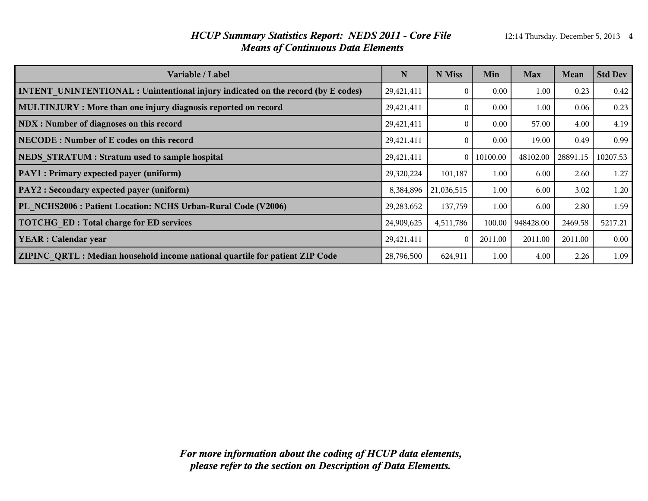#### *HCUP Summary Statistics Report: NEDS 2011 - Core File* 12:14 Thursday, December 5, 2013 4 *Means of Continuous Data Elements*

| Variable / Label                                                                        | N          | N Miss     | Min      | <b>Max</b> | <b>Mean</b> | <b>Std Dev</b> |
|-----------------------------------------------------------------------------------------|------------|------------|----------|------------|-------------|----------------|
| <b>INTENT UNINTENTIONAL : Unintentional injury indicated on the record (by E codes)</b> | 29,421,411 | 0          | 0.00     | 1.00       | 0.23        | 0.42           |
| MULTINJURY : More than one injury diagnosis reported on record                          | 29,421,411 | 0          | 0.00     | 1.00       | 0.06        | 0.23           |
| NDX : Number of diagnoses on this record                                                | 29,421,411 | $\Omega$   | 0.00     | 57.00      | 4.00        | 4.19           |
| NECODE: Number of E codes on this record                                                | 29,421,411 | $\Omega$   | 0.00     | 19.00      | 0.49        | 0.99           |
| NEDS STRATUM : Stratum used to sample hospital                                          | 29,421,411 | 0          | 10100.00 | 48102.00   | 28891.15    | 10207.53       |
| PAY1 : Primary expected payer (uniform)                                                 | 29,320,224 | 101,187    | 1.00     | 6.00       | 2.60        | 1.27           |
| PAY2 : Secondary expected payer (uniform)                                               | 8,384,896  | 21,036,515 | 1.00     | 6.00       | 3.02        | 1.20           |
| PL NCHS2006 : Patient Location: NCHS Urban-Rural Code (V2006)                           | 29,283,652 | 137,759    | 1.00     | 6.00       | 2.80        | 1.59           |
| <b>TOTCHG ED: Total charge for ED services</b>                                          | 24,909,625 | 4,511,786  | 100.00   | 948428.00  | 2469.58     | 5217.21        |
| <b>YEAR</b> : Calendar year                                                             | 29,421,411 | $\Omega$   | 2011.00  | 2011.00    | 2011.00     | $0.00\,$       |
| ZIPINC QRTL: Median household income national quartile for patient ZIP Code             | 28,796,500 | 624,911    | 1.00     | 4.00       | 2.26        | 1.09           |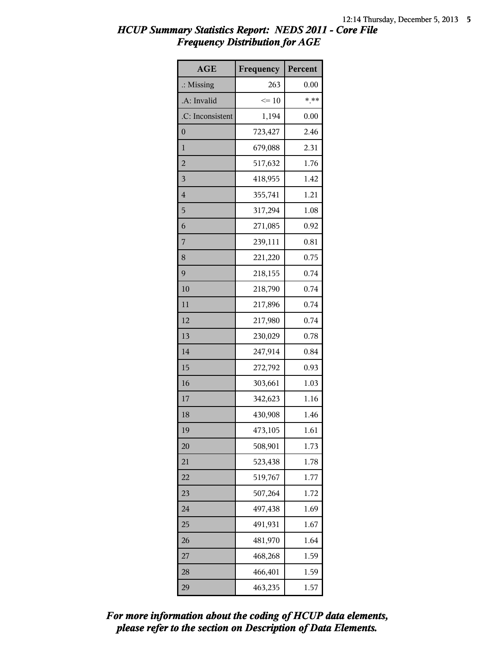| <b>AGE</b>           | Frequency | Percent |
|----------------------|-----------|---------|
| $\therefore$ Missing | 263       | 0.00    |
| .A: Invalid          | $\leq 10$ | $* * *$ |
| .C: Inconsistent     | 1,194     | 0.00    |
| $\boldsymbol{0}$     | 723,427   | 2.46    |
| $\mathbf{1}$         | 679,088   | 2.31    |
| $\overline{c}$       | 517,632   | 1.76    |
| 3                    | 418,955   | 1.42    |
| $\overline{4}$       | 355,741   | 1.21    |
| 5                    | 317,294   | 1.08    |
| 6                    | 271,085   | 0.92    |
| 7                    | 239,111   | 0.81    |
| 8                    | 221,220   | 0.75    |
| 9                    | 218,155   | 0.74    |
| 10                   | 218,790   | 0.74    |
| 11                   | 217,896   | 0.74    |
| 12                   | 217,980   | 0.74    |
| 13                   | 230,029   | 0.78    |
| 14                   | 247,914   | 0.84    |
| 15                   | 272,792   | 0.93    |
| 16                   | 303,661   | 1.03    |
| 17                   | 342,623   | 1.16    |
| 18                   | 430,908   | 1.46    |
| 19                   | 473,105   | 1.61    |
| 20                   | 508,901   | 1.73    |
| 21                   | 523,438   | 1.78    |
| 22                   | 519,767   | 1.77    |
| 23                   | 507,264   | 1.72    |
| 24                   | 497,438   | 1.69    |
| 25                   | 491,931   | 1.67    |
| 26                   | 481,970   | 1.64    |
| 27                   | 468,268   | 1.59    |
| 28                   | 466,401   | 1.59    |
| 29                   | 463,235   | 1.57    |

*please refer to the section on Description of Data Elements. For more information about the coding of HCUP data elements,*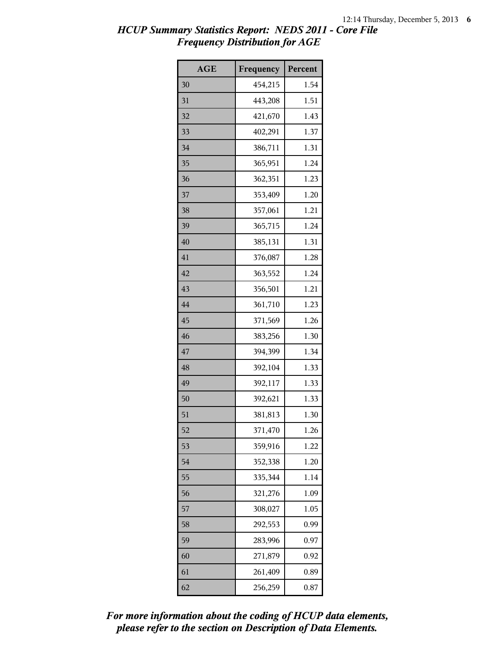| <b>AGE</b> | Frequency | Percent |
|------------|-----------|---------|
| 30         | 454,215   | 1.54    |
| 31         | 443,208   | 1.51    |
| 32         | 421,670   | 1.43    |
| 33         | 402,291   | 1.37    |
| 34         | 386,711   | 1.31    |
| 35         | 365,951   | 1.24    |
| 36         | 362,351   | 1.23    |
| 37         | 353,409   | 1.20    |
| 38         | 357,061   | 1.21    |
| 39         | 365,715   | 1.24    |
| 40         | 385,131   | 1.31    |
| 41         | 376,087   | 1.28    |
| 42         | 363,552   | 1.24    |
| 43         | 356,501   | 1.21    |
| 44         | 361,710   | 1.23    |
| 45         | 371,569   | 1.26    |
| 46         | 383,256   | 1.30    |
| 47         | 394,399   | 1.34    |
| 48         | 392,104   | 1.33    |
| 49         | 392,117   | 1.33    |
| 50         | 392,621   | 1.33    |
| 51         | 381,813   | 1.30    |
| 52         | 371,470   | 1.26    |
| 53         | 359,916   | 1.22    |
| 54         | 352,338   | 1.20    |
| 55         | 335,344   | 1.14    |
| 56         | 321,276   | 1.09    |
| 57         | 308,027   | 1.05    |
| 58         | 292,553   | 0.99    |
| 59         | 283,996   | 0.97    |
| 60         | 271,879   | 0.92    |
| 61         | 261,409   | 0.89    |
| 62         | 256,259   | 0.87    |

*please refer to the section on Description of Data Elements. For more information about the coding of HCUP data elements,*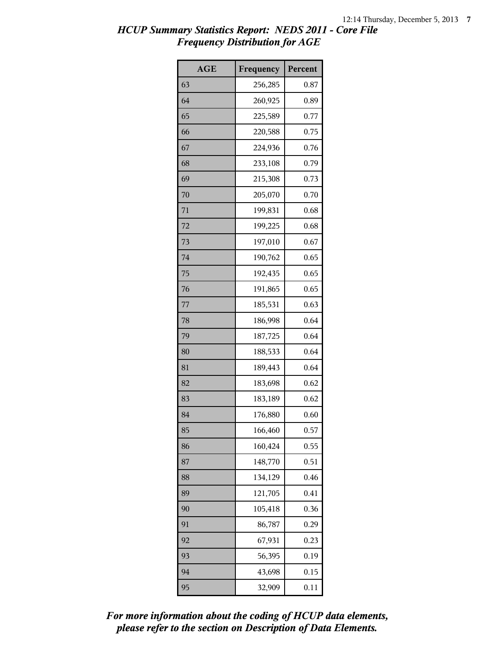| <b>AGE</b> | Frequency | Percent |
|------------|-----------|---------|
| 63         | 256,285   | 0.87    |
| 64         | 260,925   | 0.89    |
| 65         | 225,589   | 0.77    |
| 66         | 220,588   | 0.75    |
| 67         | 224,936   | 0.76    |
| 68         | 233,108   | 0.79    |
| 69         | 215,308   | 0.73    |
| 70         | 205,070   | 0.70    |
| 71         | 199,831   | 0.68    |
| 72         | 199,225   | 0.68    |
| 73         | 197,010   | 0.67    |
| 74         | 190,762   | 0.65    |
| 75         | 192,435   | 0.65    |
| 76         | 191,865   | 0.65    |
| 77         | 185,531   | 0.63    |
| 78         | 186,998   | 0.64    |
| 79         | 187,725   | 0.64    |
| 80         | 188,533   | 0.64    |
| 81         | 189,443   | 0.64    |
| 82         | 183,698   | 0.62    |
| 83         | 183,189   | 0.62    |
| 84         | 176,880   | 0.60    |
| 85         | 166,460   | 0.57    |
| 86         | 160,424   | 0.55    |
| 87         | 148,770   | 0.51    |
| 88         | 134,129   | 0.46    |
| 89         | 121,705   | 0.41    |
| 90         | 105,418   | 0.36    |
| 91         | 86,787    | 0.29    |
| 92         | 67,931    | 0.23    |
| 93         | 56,395    | 0.19    |
| 94         | 43,698    | 0.15    |
| 95         | 32,909    | 0.11    |

*please refer to the section on Description of Data Elements. For more information about the coding of HCUP data elements,*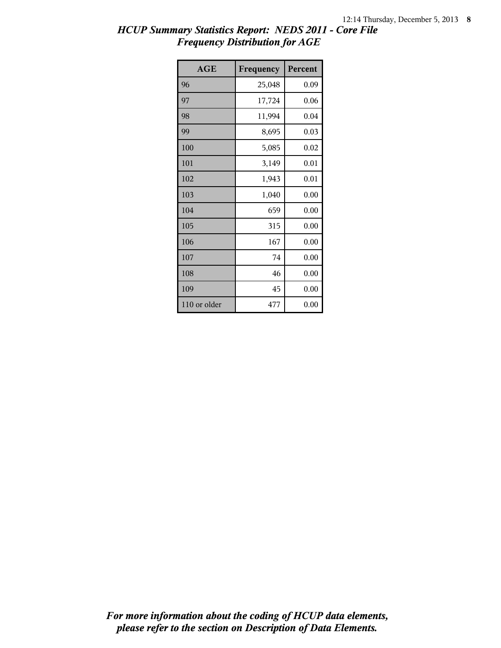| <b>AGE</b>   | Frequency | Percent |
|--------------|-----------|---------|
| 96           | 25,048    | 0.09    |
| 97           | 17,724    | 0.06    |
| 98           | 11,994    | 0.04    |
| 99           | 8,695     | 0.03    |
| 100          | 5,085     | 0.02    |
| 101          | 3,149     | 0.01    |
| 102          | 1,943     | 0.01    |
| 103          | 1,040     | 0.00    |
| 104          | 659       | 0.00    |
| 105          | 315       | 0.00    |
| 106          | 167       | 0.00    |
| 107          | 74        | 0.00    |
| 108          | 46        | 0.00    |
| 109          | 45        | 0.00    |
| 110 or older | 477       | 0.00    |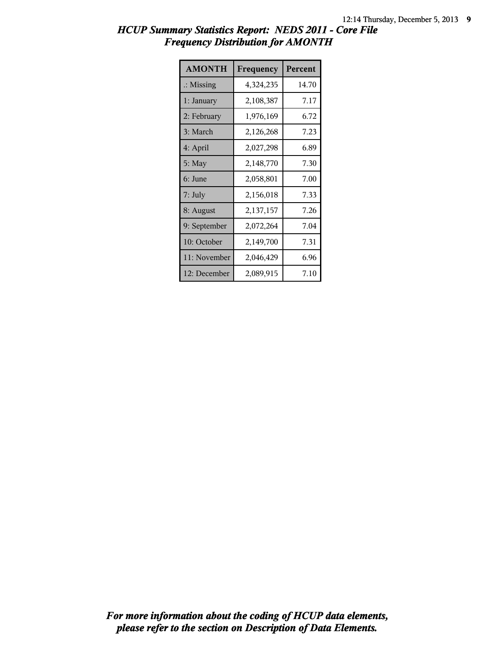| <b>AMONTH</b>        | Frequency | Percent |
|----------------------|-----------|---------|
| $\therefore$ Missing | 4,324,235 | 14.70   |
| 1: January           | 2,108,387 | 7.17    |
| 2: February          | 1,976,169 | 6.72    |
| 3: March             | 2,126,268 | 7.23    |
| 4: April             | 2,027,298 | 6.89    |
| 5: May               | 2,148,770 | 7.30    |
| 6: June              | 2,058,801 | 7.00    |
| 7: July              | 2,156,018 | 7.33    |
| 8: August            | 2,137,157 | 7.26    |
| 9: September         | 2,072,264 | 7.04    |
| 10: October          | 2,149,700 | 7.31    |
| 11: November         | 2,046,429 | 6.96    |
| 12: December         | 2,089,915 | 7.10    |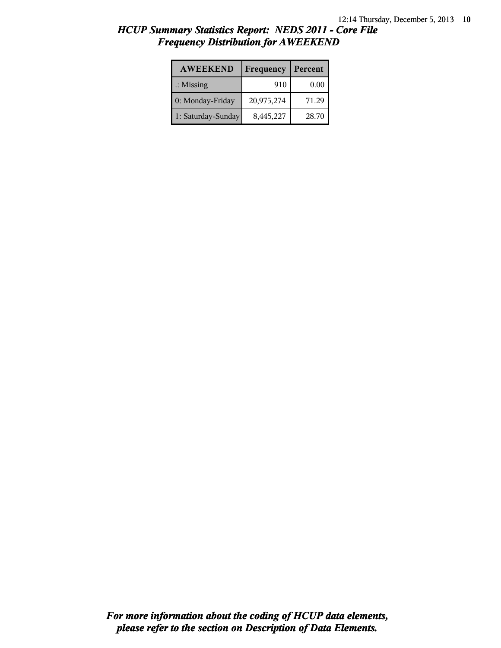| <b>AWEEKEND</b>      | Frequency  | Percent |
|----------------------|------------|---------|
| $\therefore$ Missing | 910        | 0.00    |
| 0: Monday-Friday     | 20,975,274 | 71.29   |
| 1: Saturday-Sunday   | 8,445,227  | 28.70   |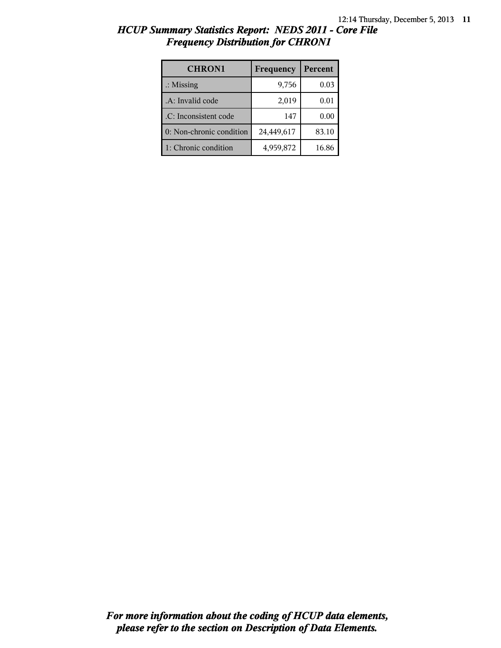| <b>CHRON1</b>            | Frequency  | Percent |
|--------------------------|------------|---------|
| $\therefore$ Missing     | 9,756      | 0.03    |
| .A: Invalid code         | 2,019      | 0.01    |
| .C: Inconsistent code    | 147        | 0.00    |
| 0: Non-chronic condition | 24,449,617 | 83.10   |
| 1: Chronic condition     | 4,959,872  | 16.86   |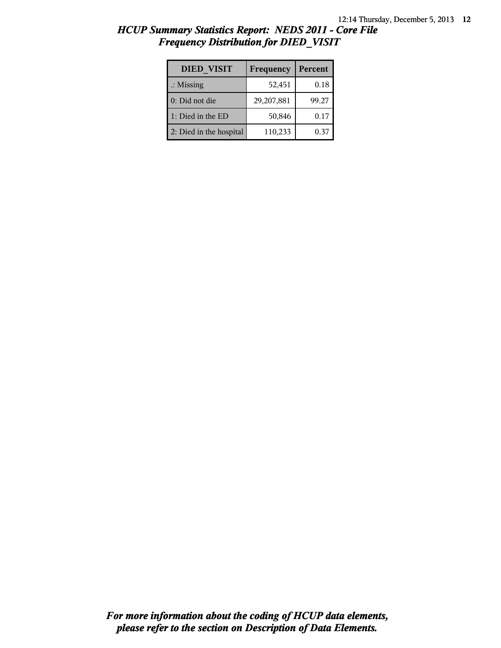| <b>DIED VISIT</b>       | Frequency  | Percent |
|-------------------------|------------|---------|
| $\therefore$ Missing    | 52,451     | 0.18    |
| 0: Did not die          | 29,207,881 | 99.27   |
| 1: Died in the ED       | 50,846     | 0.17    |
| 2: Died in the hospital | 110,233    | 0.37    |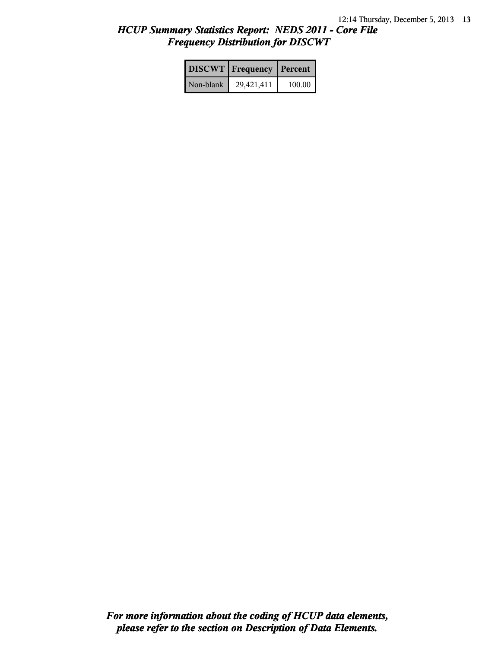|           | <b>DISCWT</b> Frequency | Percent |
|-----------|-------------------------|---------|
| Non-blank | 29,421,411              | 100.00  |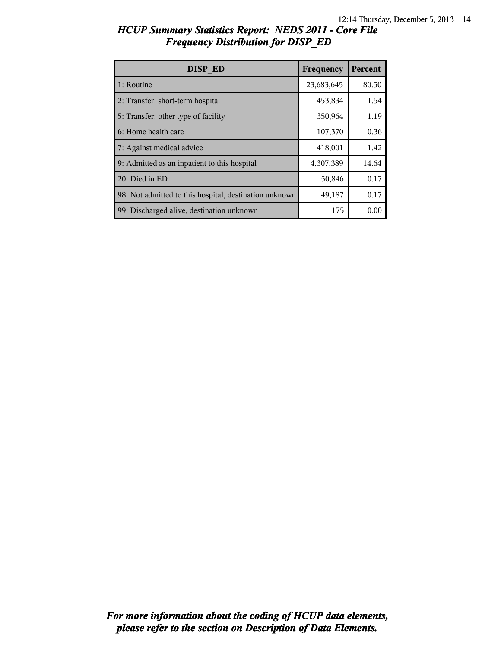| DISP ED                                                | Frequency  | Percent |
|--------------------------------------------------------|------------|---------|
| 1: Routine                                             | 23,683,645 | 80.50   |
| 2: Transfer: short-term hospital                       | 453,834    | 1.54    |
| 5: Transfer: other type of facility                    | 350,964    | 1.19    |
| 6: Home health care                                    | 107,370    | 0.36    |
| 7: Against medical advice                              | 418,001    | 1.42    |
| 9: Admitted as an inpatient to this hospital           | 4,307,389  | 14.64   |
| 20: Died in ED                                         | 50,846     | 0.17    |
| 98: Not admitted to this hospital, destination unknown | 49,187     | 0.17    |
| 99: Discharged alive, destination unknown              | 175        | 0.00    |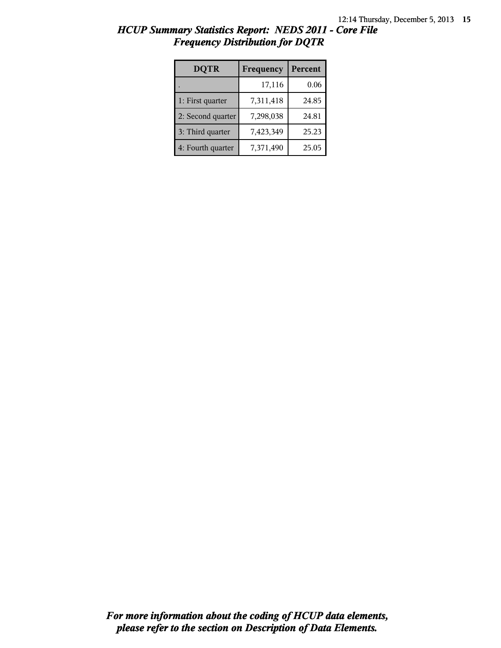| <b>DQTR</b>       | Frequency | Percent |
|-------------------|-----------|---------|
|                   | 17,116    | 0.06    |
| 1: First quarter  | 7,311,418 | 24.85   |
| 2: Second quarter | 7,298,038 | 24.81   |
| 3: Third quarter  | 7,423,349 | 25.23   |
| 4: Fourth quarter | 7,371,490 | 25.05   |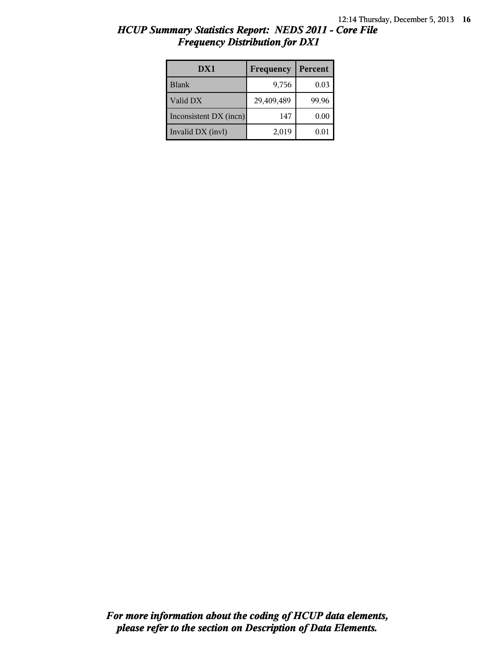| HCUP Summary Statistics Report: NEDS 2011 - Core File |  |
|-------------------------------------------------------|--|
| <b>Frequency Distribution for DX1</b>                 |  |

| DX1                    | Frequency  | Percent |
|------------------------|------------|---------|
| Blank                  | 9,756      | 0.03    |
| Valid DX               | 29,409,489 | 99.96   |
| Inconsistent DX (incn) | 147        | 0.00    |
| Invalid DX (invl)      | 2,019      | 0.01    |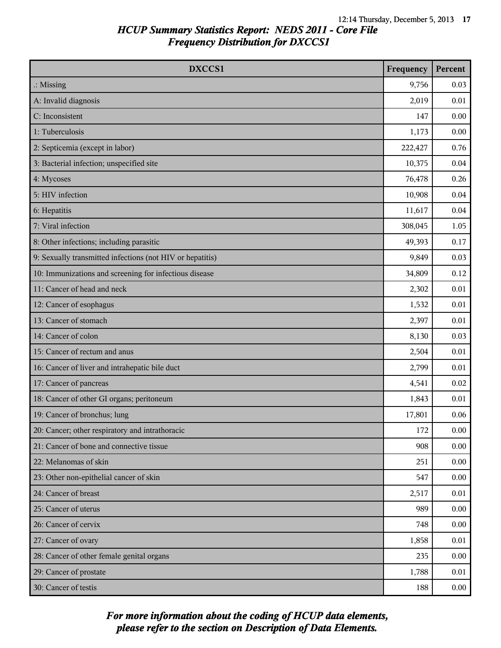| DXCCS1                                                    | Frequency | Percent |
|-----------------------------------------------------------|-----------|---------|
| $\therefore$ Missing                                      | 9,756     | 0.03    |
| A: Invalid diagnosis                                      | 2,019     | 0.01    |
| C: Inconsistent                                           | 147       | 0.00    |
| 1: Tuberculosis                                           | 1,173     | 0.00    |
| 2: Septicemia (except in labor)                           | 222,427   | 0.76    |
| 3: Bacterial infection; unspecified site                  | 10,375    | 0.04    |
| 4: Mycoses                                                | 76,478    | 0.26    |
| 5: HIV infection                                          | 10,908    | 0.04    |
| 6: Hepatitis                                              | 11,617    | 0.04    |
| 7: Viral infection                                        | 308,045   | 1.05    |
| 8: Other infections; including parasitic                  | 49,393    | 0.17    |
| 9: Sexually transmitted infections (not HIV or hepatitis) | 9,849     | 0.03    |
| 10: Immunizations and screening for infectious disease    | 34,809    | 0.12    |
| 11: Cancer of head and neck                               | 2,302     | 0.01    |
| 12: Cancer of esophagus                                   | 1,532     | 0.01    |
| 13: Cancer of stomach                                     | 2,397     | 0.01    |
| 14: Cancer of colon                                       | 8,130     | 0.03    |
| 15: Cancer of rectum and anus                             | 2,504     | 0.01    |
| 16: Cancer of liver and intrahepatic bile duct            | 2,799     | 0.01    |
| 17: Cancer of pancreas                                    | 4,541     | 0.02    |
| 18: Cancer of other GI organs; peritoneum                 | 1,843     | 0.01    |
| 19: Cancer of bronchus; lung                              | 17,801    | 0.06    |
| 20: Cancer; other respiratory and intrathoracic           | 172       | 0.00    |
| 21: Cancer of bone and connective tissue                  | 908       | 0.00    |
| 22: Melanomas of skin                                     | 251       | 0.00    |
| 23: Other non-epithelial cancer of skin                   | 547       | 0.00    |
| 24: Cancer of breast                                      | 2,517     | 0.01    |
| 25: Cancer of uterus                                      | 989       | 0.00    |
| 26: Cancer of cervix                                      | 748       | 0.00    |
| 27: Cancer of ovary                                       | 1,858     | 0.01    |
| 28: Cancer of other female genital organs                 | 235       | 0.00    |
| 29: Cancer of prostate                                    | 1,788     | 0.01    |
| 30: Cancer of testis                                      | 188       | 0.00    |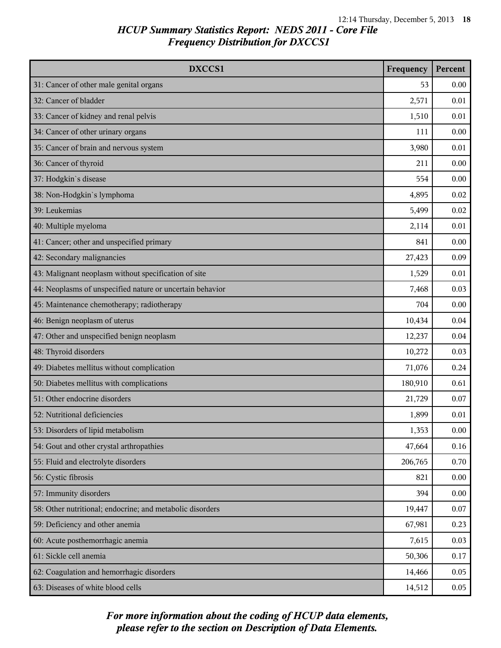| DXCCS1                                                    | Frequency | Percent |
|-----------------------------------------------------------|-----------|---------|
| 31: Cancer of other male genital organs                   | 53        | 0.00    |
| 32: Cancer of bladder                                     | 2,571     | 0.01    |
| 33: Cancer of kidney and renal pelvis                     | 1,510     | 0.01    |
| 34: Cancer of other urinary organs                        | 111       | 0.00    |
| 35: Cancer of brain and nervous system                    | 3,980     | 0.01    |
| 36: Cancer of thyroid                                     | 211       | 0.00    |
| 37: Hodgkin's disease                                     | 554       | 0.00    |
| 38: Non-Hodgkin's lymphoma                                | 4,895     | 0.02    |
| 39: Leukemias                                             | 5,499     | 0.02    |
| 40: Multiple myeloma                                      | 2,114     | 0.01    |
| 41: Cancer; other and unspecified primary                 | 841       | 0.00    |
| 42: Secondary malignancies                                | 27,423    | 0.09    |
| 43: Malignant neoplasm without specification of site      | 1,529     | 0.01    |
| 44: Neoplasms of unspecified nature or uncertain behavior | 7,468     | 0.03    |
| 45: Maintenance chemotherapy; radiotherapy                | 704       | 0.00    |
| 46: Benign neoplasm of uterus                             | 10,434    | 0.04    |
| 47: Other and unspecified benign neoplasm                 | 12,237    | 0.04    |
| 48: Thyroid disorders                                     | 10,272    | 0.03    |
| 49: Diabetes mellitus without complication                | 71,076    | 0.24    |
| 50: Diabetes mellitus with complications                  | 180,910   | 0.61    |
| 51: Other endocrine disorders                             | 21,729    | 0.07    |
| 52: Nutritional deficiencies                              | 1,899     | 0.01    |
| 53: Disorders of lipid metabolism                         | 1,353     | 0.00    |
| 54: Gout and other crystal arthropathies                  | 47,664    | 0.16    |
| 55: Fluid and electrolyte disorders                       | 206,765   | 0.70    |
| 56: Cystic fibrosis                                       | 821       | 0.00    |
| 57: Immunity disorders                                    | 394       | 0.00    |
| 58: Other nutritional; endocrine; and metabolic disorders | 19,447    | 0.07    |
| 59: Deficiency and other anemia                           | 67,981    | 0.23    |
| 60: Acute posthemorrhagic anemia                          | 7,615     | 0.03    |
| 61: Sickle cell anemia                                    | 50,306    | 0.17    |
| 62: Coagulation and hemorrhagic disorders                 | 14,466    | 0.05    |
| 63: Diseases of white blood cells                         | 14,512    | 0.05    |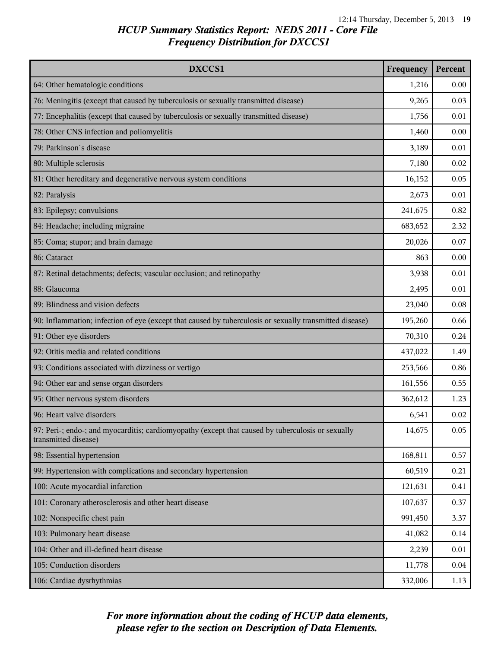| DXCCS1                                                                                                                    | Frequency | Percent |
|---------------------------------------------------------------------------------------------------------------------------|-----------|---------|
| 64: Other hematologic conditions                                                                                          | 1,216     | 0.00    |
| 76: Meningitis (except that caused by tuberculosis or sexually transmitted disease)                                       | 9,265     | 0.03    |
| 77: Encephalitis (except that caused by tuberculosis or sexually transmitted disease)                                     | 1,756     | 0.01    |
| 78: Other CNS infection and poliomyelitis                                                                                 | 1,460     | 0.00    |
| 79: Parkinson's disease                                                                                                   | 3,189     | 0.01    |
| 80: Multiple sclerosis                                                                                                    | 7,180     | 0.02    |
| 81: Other hereditary and degenerative nervous system conditions                                                           | 16,152    | 0.05    |
| 82: Paralysis                                                                                                             | 2,673     | 0.01    |
| 83: Epilepsy; convulsions                                                                                                 | 241,675   | 0.82    |
| 84: Headache; including migraine                                                                                          | 683,652   | 2.32    |
| 85: Coma; stupor; and brain damage                                                                                        | 20,026    | 0.07    |
| 86: Cataract                                                                                                              | 863       | 0.00    |
| 87: Retinal detachments; defects; vascular occlusion; and retinopathy                                                     | 3,938     | 0.01    |
| 88: Glaucoma                                                                                                              | 2,495     | 0.01    |
| 89: Blindness and vision defects                                                                                          | 23,040    | 0.08    |
| 90: Inflammation; infection of eye (except that caused by tuberculosis or sexually transmitted disease)                   | 195,260   | 0.66    |
| 91: Other eye disorders                                                                                                   | 70,310    | 0.24    |
| 92: Otitis media and related conditions                                                                                   | 437,022   | 1.49    |
| 93: Conditions associated with dizziness or vertigo                                                                       | 253,566   | 0.86    |
| 94: Other ear and sense organ disorders                                                                                   | 161,556   | 0.55    |
| 95: Other nervous system disorders                                                                                        | 362,612   | 1.23    |
| 96: Heart valve disorders                                                                                                 | 6,541     | 0.02    |
| 97: Peri-; endo-; and myocarditis; cardiomyopathy (except that caused by tuberculosis or sexually<br>transmitted disease) | 14,675    | 0.05    |
| 98: Essential hypertension                                                                                                | 168,811   | 0.57    |
| 99: Hypertension with complications and secondary hypertension                                                            | 60,519    | 0.21    |
| 100: Acute myocardial infarction                                                                                          | 121,631   | 0.41    |
| 101: Coronary atherosclerosis and other heart disease                                                                     | 107,637   | 0.37    |
| 102: Nonspecific chest pain                                                                                               | 991,450   | 3.37    |
| 103: Pulmonary heart disease                                                                                              | 41,082    | 0.14    |
| 104: Other and ill-defined heart disease                                                                                  | 2,239     | 0.01    |
| 105: Conduction disorders                                                                                                 | 11,778    | 0.04    |
| 106: Cardiac dysrhythmias                                                                                                 | 332,006   | 1.13    |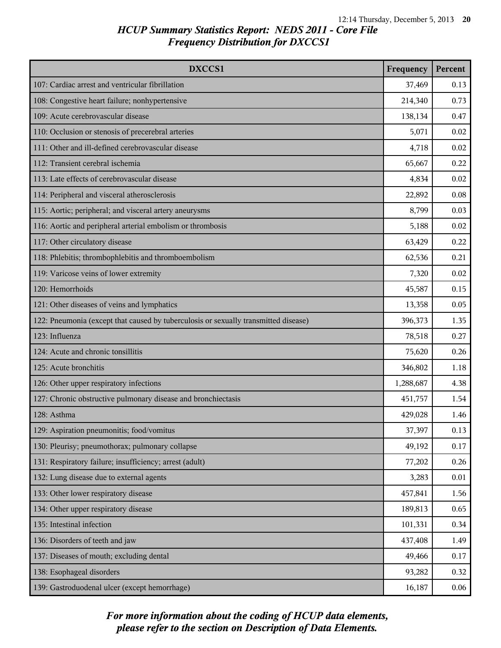| DXCCS1                                                                              | Frequency | Percent |
|-------------------------------------------------------------------------------------|-----------|---------|
| 107: Cardiac arrest and ventricular fibrillation                                    | 37,469    | 0.13    |
| 108: Congestive heart failure; nonhypertensive                                      | 214,340   | 0.73    |
| 109: Acute cerebrovascular disease                                                  | 138,134   | 0.47    |
| 110: Occlusion or stenosis of precerebral arteries                                  | 5,071     | 0.02    |
| 111: Other and ill-defined cerebrovascular disease                                  | 4,718     | 0.02    |
| 112: Transient cerebral ischemia                                                    | 65,667    | 0.22    |
| 113: Late effects of cerebrovascular disease                                        | 4,834     | 0.02    |
| 114: Peripheral and visceral atherosclerosis                                        | 22,892    | 0.08    |
| 115: Aortic; peripheral; and visceral artery aneurysms                              | 8,799     | 0.03    |
| 116: Aortic and peripheral arterial embolism or thrombosis                          | 5,188     | 0.02    |
| 117: Other circulatory disease                                                      | 63,429    | 0.22    |
| 118: Phlebitis; thrombophlebitis and thromboembolism                                | 62,536    | 0.21    |
| 119: Varicose veins of lower extremity                                              | 7,320     | 0.02    |
| 120: Hemorrhoids                                                                    | 45,587    | 0.15    |
| 121: Other diseases of veins and lymphatics                                         | 13,358    | 0.05    |
| 122: Pneumonia (except that caused by tuberculosis or sexually transmitted disease) | 396,373   | 1.35    |
| 123: Influenza                                                                      | 78,518    | 0.27    |
| 124: Acute and chronic tonsillitis                                                  | 75,620    | 0.26    |
| 125: Acute bronchitis                                                               | 346,802   | 1.18    |
| 126: Other upper respiratory infections                                             | 1,288,687 | 4.38    |
| 127: Chronic obstructive pulmonary disease and bronchiectasis                       | 451,757   | 1.54    |
| 128: Asthma                                                                         | 429,028   | 1.46    |
| 129: Aspiration pneumonitis; food/vomitus                                           | 37,397    | 0.13    |
| 130: Pleurisy; pneumothorax; pulmonary collapse                                     | 49,192    | 0.17    |
| 131: Respiratory failure; insufficiency; arrest (adult)                             | 77,202    | 0.26    |
| 132: Lung disease due to external agents                                            | 3,283     | 0.01    |
| 133: Other lower respiratory disease                                                | 457,841   | 1.56    |
| 134: Other upper respiratory disease                                                | 189,813   | 0.65    |
| 135: Intestinal infection                                                           | 101,331   | 0.34    |
| 136: Disorders of teeth and jaw                                                     | 437,408   | 1.49    |
| 137: Diseases of mouth; excluding dental                                            | 49,466    | 0.17    |
| 138: Esophageal disorders                                                           | 93,282    | 0.32    |
| 139: Gastroduodenal ulcer (except hemorrhage)                                       | 16,187    | 0.06    |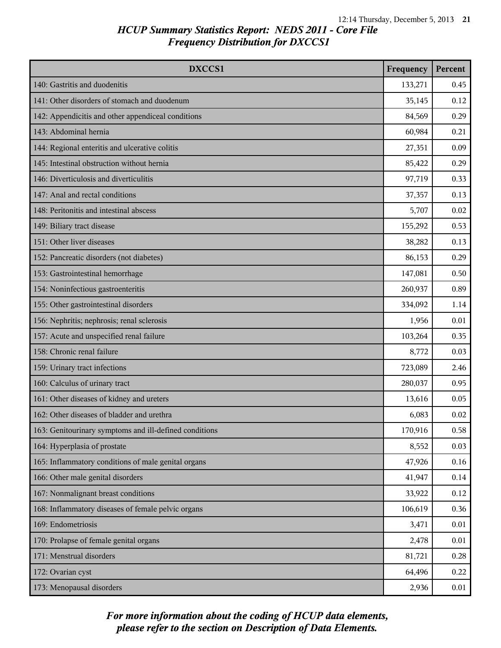| DXCCS1                                                 | Frequency | Percent |
|--------------------------------------------------------|-----------|---------|
| 140: Gastritis and duodenitis                          | 133,271   | 0.45    |
| 141: Other disorders of stomach and duodenum           | 35,145    | 0.12    |
| 142: Appendicitis and other appendiceal conditions     | 84,569    | 0.29    |
| 143: Abdominal hernia                                  | 60,984    | 0.21    |
| 144: Regional enteritis and ulcerative colitis         | 27,351    | 0.09    |
| 145: Intestinal obstruction without hernia             | 85,422    | 0.29    |
| 146: Diverticulosis and diverticulitis                 | 97,719    | 0.33    |
| 147: Anal and rectal conditions                        | 37,357    | 0.13    |
| 148: Peritonitis and intestinal abscess                | 5,707     | 0.02    |
| 149: Biliary tract disease                             | 155,292   | 0.53    |
| 151: Other liver diseases                              | 38,282    | 0.13    |
| 152: Pancreatic disorders (not diabetes)               | 86,153    | 0.29    |
| 153: Gastrointestinal hemorrhage                       | 147,081   | 0.50    |
| 154: Noninfectious gastroenteritis                     | 260,937   | 0.89    |
| 155: Other gastrointestinal disorders                  | 334,092   | 1.14    |
| 156: Nephritis; nephrosis; renal sclerosis             | 1,956     | 0.01    |
| 157: Acute and unspecified renal failure               | 103,264   | 0.35    |
| 158: Chronic renal failure                             | 8,772     | 0.03    |
| 159: Urinary tract infections                          | 723,089   | 2.46    |
| 160: Calculus of urinary tract                         | 280,037   | 0.95    |
| 161: Other diseases of kidney and ureters              | 13,616    | 0.05    |
| 162: Other diseases of bladder and urethra             | 6,083     | 0.02    |
| 163: Genitourinary symptoms and ill-defined conditions | 170,916   | 0.58    |
| 164: Hyperplasia of prostate                           | 8,552     | 0.03    |
| 165: Inflammatory conditions of male genital organs    | 47,926    | 0.16    |
| 166: Other male genital disorders                      | 41,947    | 0.14    |
| 167: Nonmalignant breast conditions                    | 33,922    | 0.12    |
| 168: Inflammatory diseases of female pelvic organs     | 106,619   | 0.36    |
| 169: Endometriosis                                     | 3,471     | 0.01    |
| 170: Prolapse of female genital organs                 | 2,478     | 0.01    |
| 171: Menstrual disorders                               | 81,721    | 0.28    |
| 172: Ovarian cyst                                      | 64,496    | 0.22    |
| 173: Menopausal disorders                              | 2,936     | 0.01    |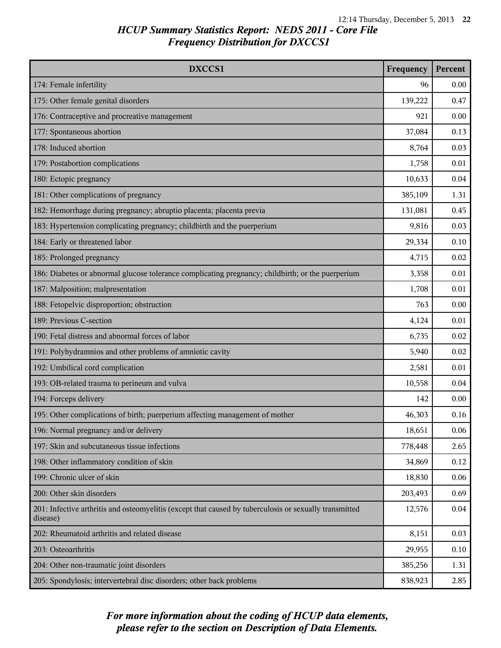| DXCCS1                                                                                                             | Frequency | Percent |
|--------------------------------------------------------------------------------------------------------------------|-----------|---------|
| 174: Female infertility                                                                                            | 96        | 0.00    |
| 175: Other female genital disorders                                                                                | 139,222   | 0.47    |
| 176: Contraceptive and procreative management                                                                      | 921       | 0.00    |
| 177: Spontaneous abortion                                                                                          | 37,084    | 0.13    |
| 178: Induced abortion                                                                                              | 8,764     | 0.03    |
| 179: Postabortion complications                                                                                    | 1,758     | 0.01    |
| 180: Ectopic pregnancy                                                                                             | 10,633    | 0.04    |
| 181: Other complications of pregnancy                                                                              | 385,109   | 1.31    |
| 182: Hemorrhage during pregnancy; abruptio placenta; placenta previa                                               | 131,081   | 0.45    |
| 183: Hypertension complicating pregnancy; childbirth and the puerperium                                            | 9,816     | 0.03    |
| 184: Early or threatened labor                                                                                     | 29,334    | 0.10    |
| 185: Prolonged pregnancy                                                                                           | 4,715     | 0.02    |
| 186: Diabetes or abnormal glucose tolerance complicating pregnancy; childbirth; or the puerperium                  | 3,358     | 0.01    |
| 187: Malposition; malpresentation                                                                                  | 1,708     | 0.01    |
| 188: Fetopelvic disproportion; obstruction                                                                         | 763       | 0.00    |
| 189: Previous C-section                                                                                            | 4,124     | 0.01    |
| 190: Fetal distress and abnormal forces of labor                                                                   | 6,735     | 0.02    |
| 191: Polyhydramnios and other problems of amniotic cavity                                                          | 5,940     | 0.02    |
| 192: Umbilical cord complication                                                                                   | 2,581     | 0.01    |
| 193: OB-related trauma to perineum and vulva                                                                       | 10,558    | 0.04    |
| 194: Forceps delivery                                                                                              | 142       | 0.00    |
| 195: Other complications of birth; puerperium affecting management of mother                                       | 46,303    | 0.16    |
| 196: Normal pregnancy and/or delivery                                                                              | 18,651    | 0.06    |
| 197: Skin and subcutaneous tissue infections                                                                       | 778,448   | 2.65    |
| 198: Other inflammatory condition of skin                                                                          | 34,869    | 0.12    |
| 199: Chronic ulcer of skin                                                                                         | 18,830    | 0.06    |
| 200: Other skin disorders                                                                                          | 203,493   | 0.69    |
| 201: Infective arthritis and osteomyelitis (except that caused by tuberculosis or sexually transmitted<br>disease) | 12,576    | 0.04    |
| 202: Rheumatoid arthritis and related disease                                                                      | 8,151     | 0.03    |
| 203: Osteoarthritis                                                                                                | 29,955    | 0.10    |
| 204: Other non-traumatic joint disorders                                                                           | 385,256   | 1.31    |
| 205: Spondylosis; intervertebral disc disorders; other back problems                                               | 838,923   | 2.85    |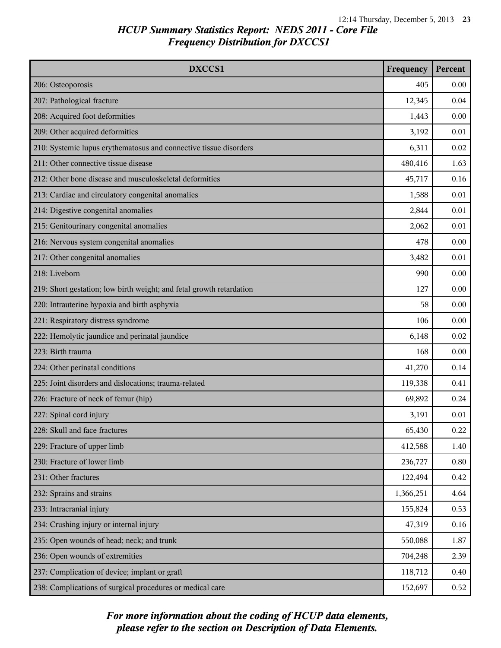| <b>DXCCS1</b>                                                        | Frequency | Percent |
|----------------------------------------------------------------------|-----------|---------|
| 206: Osteoporosis                                                    | 405       | 0.00    |
| 207: Pathological fracture                                           | 12,345    | 0.04    |
| 208: Acquired foot deformities                                       | 1,443     | 0.00    |
| 209: Other acquired deformities                                      | 3,192     | 0.01    |
| 210: Systemic lupus erythematosus and connective tissue disorders    | 6,311     | 0.02    |
| 211: Other connective tissue disease                                 | 480,416   | 1.63    |
| 212: Other bone disease and musculoskeletal deformities              | 45,717    | 0.16    |
| 213: Cardiac and circulatory congenital anomalies                    | 1,588     | 0.01    |
| 214: Digestive congenital anomalies                                  | 2,844     | 0.01    |
| 215: Genitourinary congenital anomalies                              | 2,062     | 0.01    |
| 216: Nervous system congenital anomalies                             | 478       | 0.00    |
| 217: Other congenital anomalies                                      | 3,482     | 0.01    |
| 218: Liveborn                                                        | 990       | 0.00    |
| 219: Short gestation; low birth weight; and fetal growth retardation | 127       | 0.00    |
| 220: Intrauterine hypoxia and birth asphyxia                         | 58        | 0.00    |
| 221: Respiratory distress syndrome                                   | 106       | 0.00    |
| 222: Hemolytic jaundice and perinatal jaundice                       | 6,148     | 0.02    |
| 223: Birth trauma                                                    | 168       | 0.00    |
| 224: Other perinatal conditions                                      | 41,270    | 0.14    |
| 225: Joint disorders and dislocations; trauma-related                | 119,338   | 0.41    |
| 226: Fracture of neck of femur (hip)                                 | 69,892    | 0.24    |
| 227: Spinal cord injury                                              | 3,191     | 0.01    |
| 228: Skull and face fractures                                        | 65,430    | 0.22    |
| 229: Fracture of upper limb                                          | 412,588   | 1.40    |
| 230: Fracture of lower limb                                          | 236,727   | 0.80    |
| 231: Other fractures                                                 | 122,494   | 0.42    |
| 232: Sprains and strains                                             | 1,366,251 | 4.64    |
| 233: Intracranial injury                                             | 155,824   | 0.53    |
| 234: Crushing injury or internal injury                              | 47,319    | 0.16    |
| 235: Open wounds of head; neck; and trunk                            | 550,088   | 1.87    |
| 236: Open wounds of extremities                                      | 704,248   | 2.39    |
| 237: Complication of device; implant or graft                        | 118,712   | 0.40    |
| 238: Complications of surgical procedures or medical care            | 152,697   | 0.52    |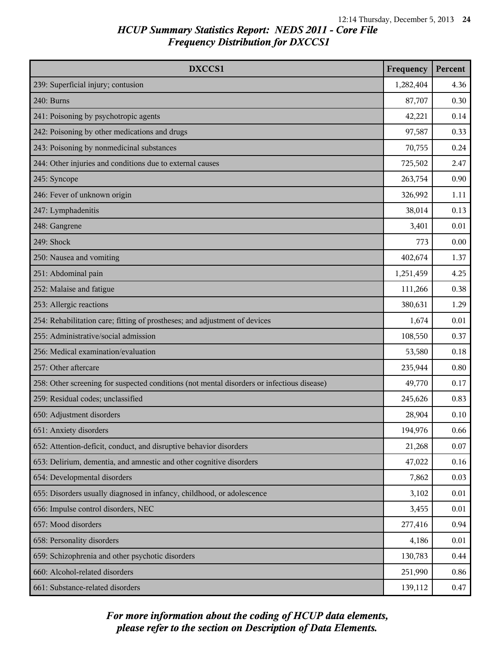| DXCCS1                                                                                     | Frequency | Percent |
|--------------------------------------------------------------------------------------------|-----------|---------|
| 239: Superficial injury; contusion                                                         | 1,282,404 | 4.36    |
| 240: Burns                                                                                 | 87,707    | 0.30    |
| 241: Poisoning by psychotropic agents                                                      | 42,221    | 0.14    |
| 242: Poisoning by other medications and drugs                                              | 97,587    | 0.33    |
| 243: Poisoning by nonmedicinal substances                                                  | 70,755    | 0.24    |
| 244: Other injuries and conditions due to external causes                                  | 725,502   | 2.47    |
| 245: Syncope                                                                               | 263,754   | 0.90    |
| 246: Fever of unknown origin                                                               | 326,992   | 1.11    |
| 247: Lymphadenitis                                                                         | 38,014    | 0.13    |
| 248: Gangrene                                                                              | 3,401     | 0.01    |
| 249: Shock                                                                                 | 773       | 0.00    |
| 250: Nausea and vomiting                                                                   | 402,674   | 1.37    |
| 251: Abdominal pain                                                                        | 1,251,459 | 4.25    |
| 252: Malaise and fatigue                                                                   | 111,266   | 0.38    |
| 253: Allergic reactions                                                                    | 380,631   | 1.29    |
| 254: Rehabilitation care; fitting of prostheses; and adjustment of devices                 | 1,674     | 0.01    |
| 255: Administrative/social admission                                                       | 108,550   | 0.37    |
| 256: Medical examination/evaluation                                                        | 53,580    | 0.18    |
| 257: Other aftercare                                                                       | 235,944   | 0.80    |
| 258: Other screening for suspected conditions (not mental disorders or infectious disease) | 49,770    | 0.17    |
| 259: Residual codes; unclassified                                                          | 245,626   | 0.83    |
| 650: Adjustment disorders                                                                  | 28,904    | 0.10    |
| 651: Anxiety disorders                                                                     | 194,976   | 0.66    |
| 652: Attention-deficit, conduct, and disruptive behavior disorders                         | 21,268    | 0.07    |
| 653: Delirium, dementia, and amnestic and other cognitive disorders                        | 47,022    | 0.16    |
| 654: Developmental disorders                                                               | 7,862     | 0.03    |
| 655: Disorders usually diagnosed in infancy, childhood, or adolescence                     | 3,102     | 0.01    |
| 656: Impulse control disorders, NEC                                                        | 3,455     | 0.01    |
| 657: Mood disorders                                                                        | 277,416   | 0.94    |
| 658: Personality disorders                                                                 | 4,186     | 0.01    |
| 659: Schizophrenia and other psychotic disorders                                           | 130,783   | 0.44    |
| 660: Alcohol-related disorders                                                             | 251,990   | 0.86    |
| 661: Substance-related disorders                                                           | 139,112   | 0.47    |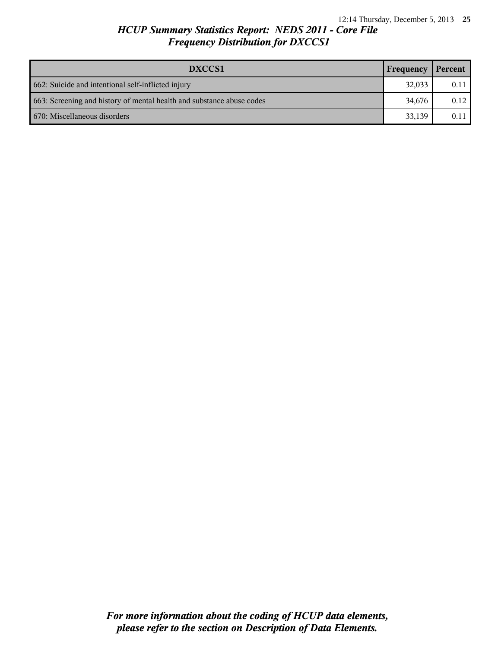| DXCCS1                                                                | Frequency | Percent |
|-----------------------------------------------------------------------|-----------|---------|
| 662: Suicide and intentional self-inflicted injury                    | 32,033    | 0.11    |
| 663: Screening and history of mental health and substance abuse codes | 34.676    | 0.12    |
| 1 670: Miscellaneous disorders                                        | 33.139    | 0.11    |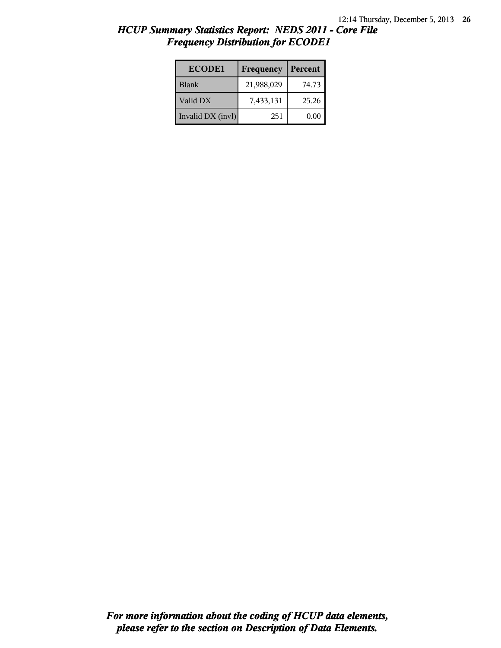| <b>ECODE1</b>     | Frequency  | Percent |
|-------------------|------------|---------|
| <b>Blank</b>      | 21,988,029 | 74.73   |
| Valid DX          | 7,433,131  | 25.26   |
| Invalid DX (invl) | 251        | 0.00    |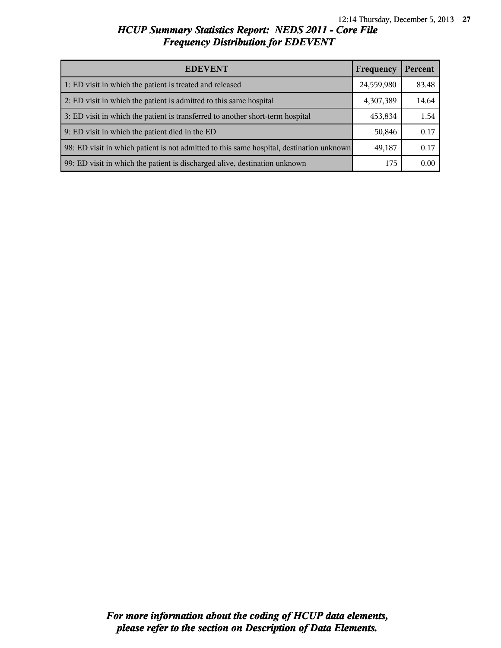| <b>EDEVENT</b>                                                                           | Frequency  | Percent |
|------------------------------------------------------------------------------------------|------------|---------|
| 1: ED visit in which the patient is treated and released                                 | 24,559,980 | 83.48   |
| 2: ED visit in which the patient is admitted to this same hospital                       | 4,307,389  | 14.64   |
| 3: ED visit in which the patient is transferred to another short-term hospital           | 453,834    | 1.54    |
| 9: ED visit in which the patient died in the ED                                          | 50,846     | 0.17    |
| 98: ED visit in which patient is not admitted to this same hospital, destination unknown | 49,187     | 0.17    |
| 99: ED visit in which the patient is discharged alive, destination unknown               | 175        | 0.00    |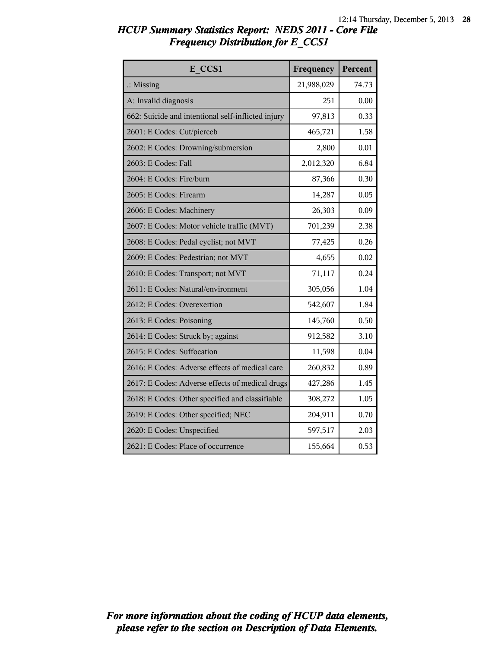| E CCS1                                             | Frequency  | Percent |
|----------------------------------------------------|------------|---------|
| $\therefore$ Missing                               | 21,988,029 | 74.73   |
| A: Invalid diagnosis                               | 251        | 0.00    |
| 662: Suicide and intentional self-inflicted injury | 97,813     | 0.33    |
| 2601: E Codes: Cut/pierceb                         | 465,721    | 1.58    |
| 2602: E Codes: Drowning/submersion                 | 2,800      | 0.01    |
| 2603: E Codes: Fall                                | 2,012,320  | 6.84    |
| 2604: E Codes: Fire/burn                           | 87,366     | 0.30    |
| 2605: E Codes: Firearm                             | 14,287     | 0.05    |
| 2606: E Codes: Machinery                           | 26,303     | 0.09    |
| 2607: E Codes: Motor vehicle traffic (MVT)         | 701,239    | 2.38    |
| 2608: E Codes: Pedal cyclist; not MVT              | 77,425     | 0.26    |
| 2609: E Codes: Pedestrian; not MVT                 | 4,655      | 0.02    |
| 2610: E Codes: Transport; not MVT                  | 71,117     | 0.24    |
| 2611: E Codes: Natural/environment                 | 305,056    | 1.04    |
| 2612: E Codes: Overexertion                        | 542,607    | 1.84    |
| 2613: E Codes: Poisoning                           | 145,760    | 0.50    |
| 2614: E Codes: Struck by; against                  | 912,582    | 3.10    |
| 2615: E Codes: Suffocation                         | 11,598     | 0.04    |
| 2616: E Codes: Adverse effects of medical care     | 260,832    | 0.89    |
| 2617: E Codes: Adverse effects of medical drugs    | 427,286    | 1.45    |
| 2618: E Codes: Other specified and classifiable    | 308,272    | 1.05    |
| 2619: E Codes: Other specified; NEC                | 204,911    | 0.70    |
| 2620: E Codes: Unspecified                         | 597,517    | 2.03    |
| 2621: E Codes: Place of occurrence                 | 155,664    | 0.53    |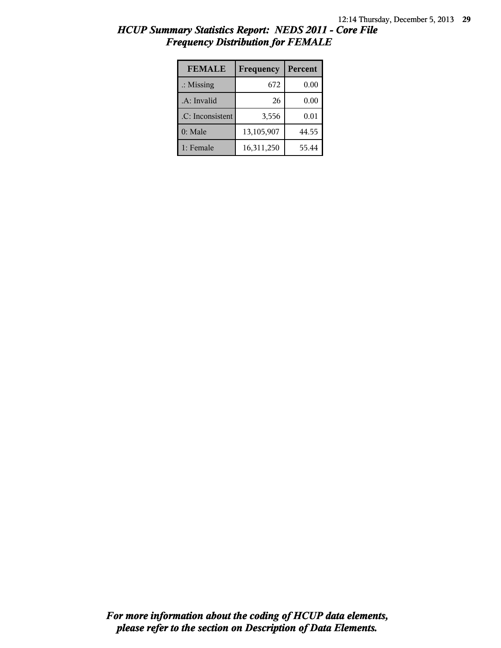| <b>FEMALE</b>        | Frequency  | Percent |
|----------------------|------------|---------|
| $\therefore$ Missing | 672        | 0.00    |
| .A: Invalid          | 26         | 0.00    |
| .C: Inconsistent     | 3,556      | 0.01    |
| $0:$ Male            | 13,105,907 | 44.55   |
| 1: Female            | 16,311,250 | 55.44   |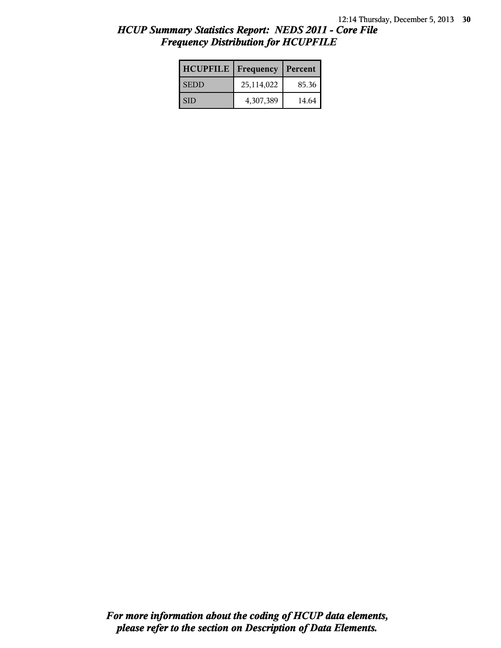| <b>HCUPFILE</b> | Frequency  | Percent |
|-----------------|------------|---------|
| <b>SEDD</b>     | 25,114,022 | 85.36   |
| <b>SID</b>      | 4,307,389  | 14.64   |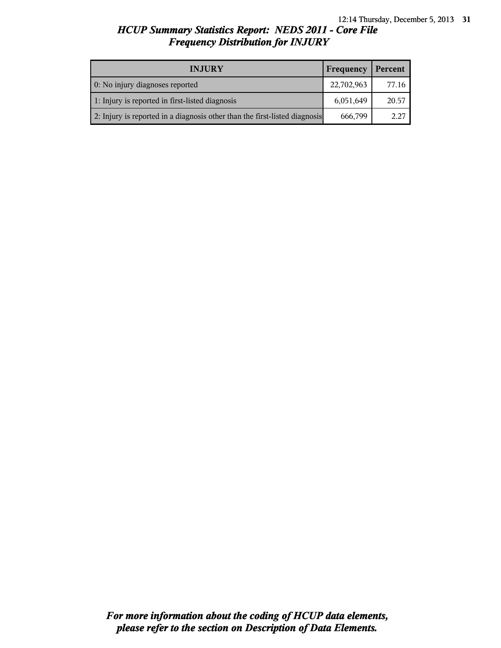| <b>INJURY</b>                                                              | Frequency  | Percent |
|----------------------------------------------------------------------------|------------|---------|
| 0: No injury diagnoses reported                                            | 22,702,963 | 77.16   |
| 1: Injury is reported in first-listed diagnosis                            | 6,051,649  | 20.57   |
| 2: Injury is reported in a diagnosis other than the first-listed diagnosis | 666,799    | 2.27    |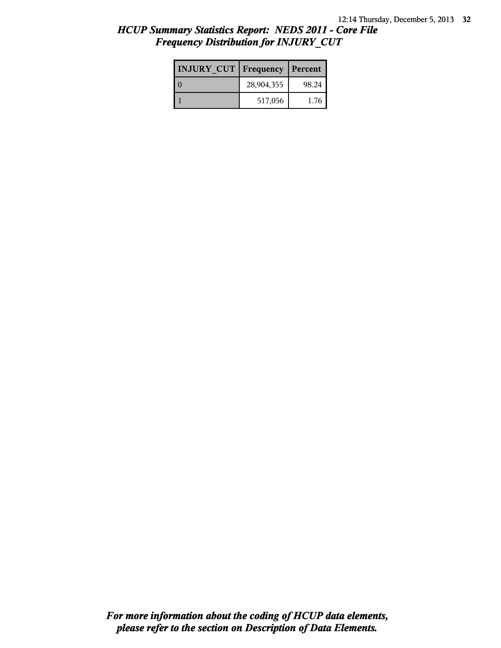| <b>INJURY CUT   Frequency</b> |            | Percent |
|-------------------------------|------------|---------|
|                               | 28,904,355 | 98.24   |
|                               | 517,056    | 1.76    |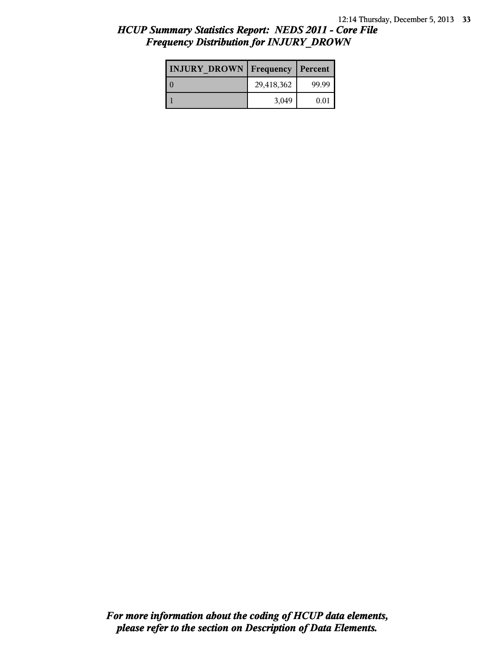| <b>INJURY DROWN</b> | <b>Frequency</b> | Percent |
|---------------------|------------------|---------|
|                     | 29,418,362       | 99.99   |
|                     | 3,049            | 0.01    |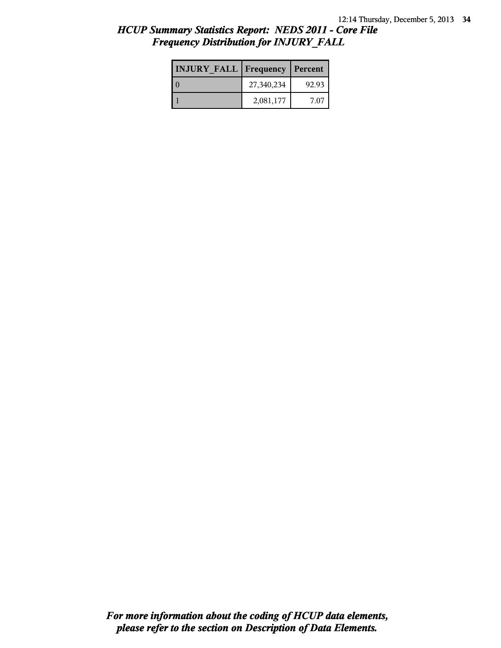| <b>INJURY FALL   Frequency   Percent</b> |            |       |
|------------------------------------------|------------|-------|
|                                          | 27,340,234 | 92.93 |
|                                          | 2,081,177  | 7 07  |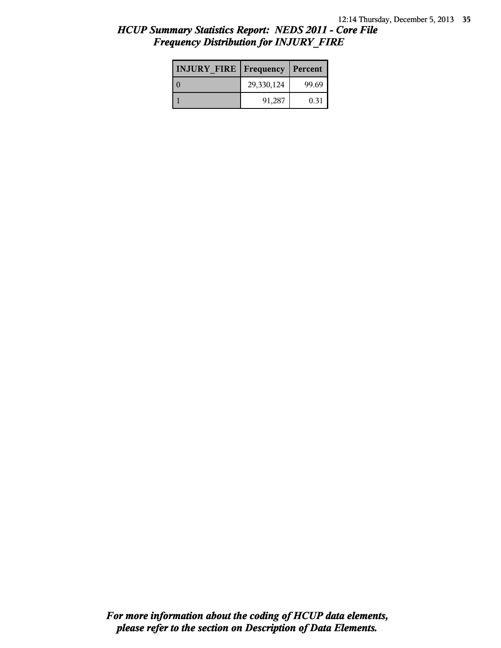| <b>INJURY FIRE Frequency</b> |            | Percent |
|------------------------------|------------|---------|
|                              | 29,330,124 | 99.69   |
|                              | 91,287     | 0.31    |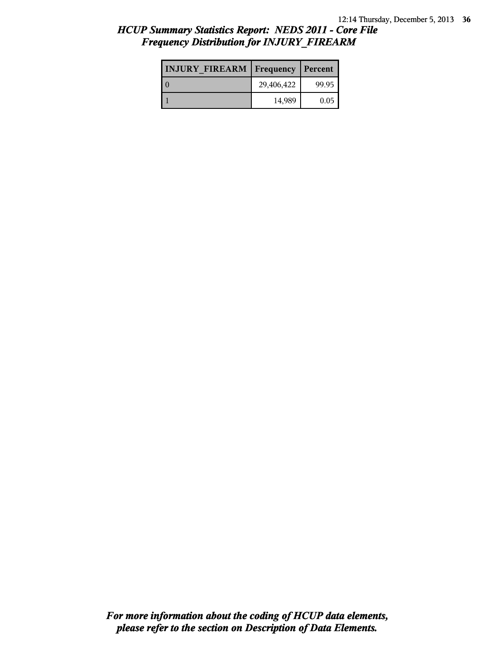| <b>INJURY FIREARM Frequency</b> |            | Percent |
|---------------------------------|------------|---------|
|                                 | 29,406,422 | 99.95   |
|                                 | 14,989     | 0.05    |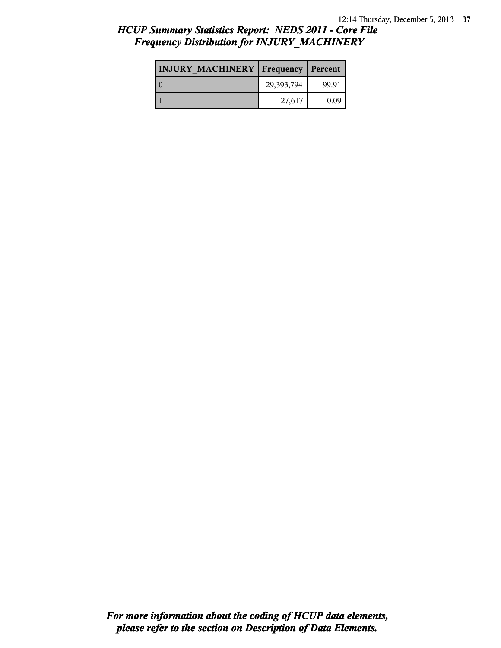| <b>INJURY MACHINERY   Frequency   Percent</b> |            |       |
|-----------------------------------------------|------------|-------|
| LΩ                                            | 29,393,794 | 99.91 |
|                                               | 27,617     | 0.09  |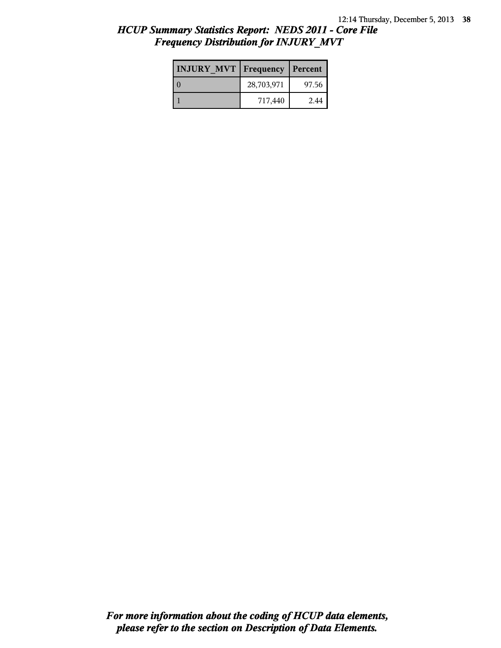| <b>INJURY MVT   Frequency   Percent</b> |            |       |
|-----------------------------------------|------------|-------|
|                                         | 28,703,971 | 97.56 |
|                                         | 717,440    | 2.44  |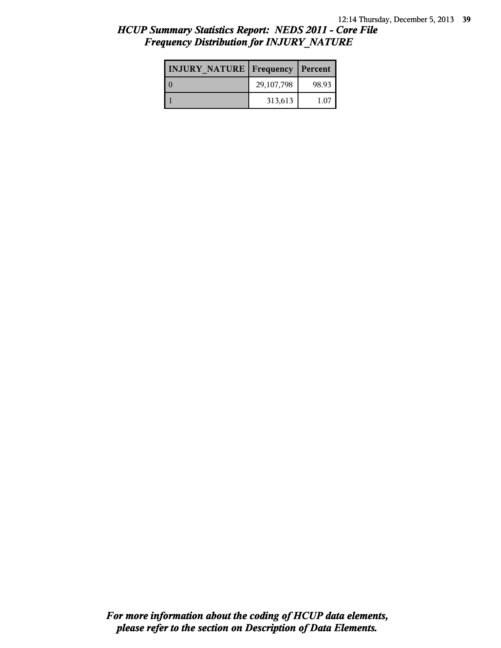| <b>INJURY NATURE Frequency</b> |            | Percent |
|--------------------------------|------------|---------|
|                                | 29,107,798 | 98.93   |
|                                | 313,613    | 1.07    |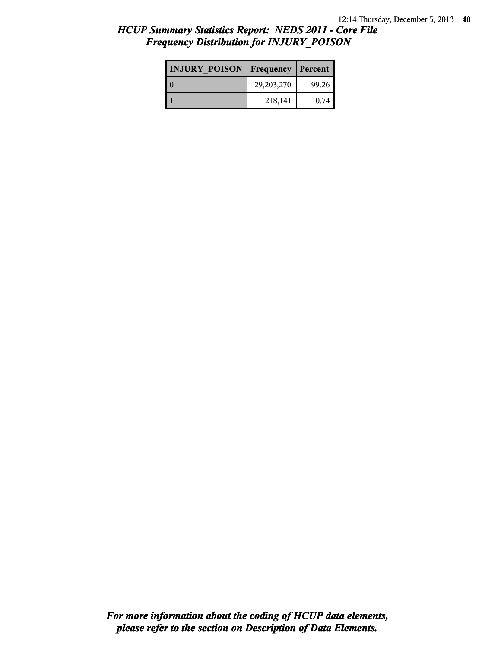| <b>INJURY POISON</b> | <b>Frequency</b>   Percent |       |
|----------------------|----------------------------|-------|
|                      | 29,203,270                 | 99.26 |
|                      | 218,141                    | 0.74  |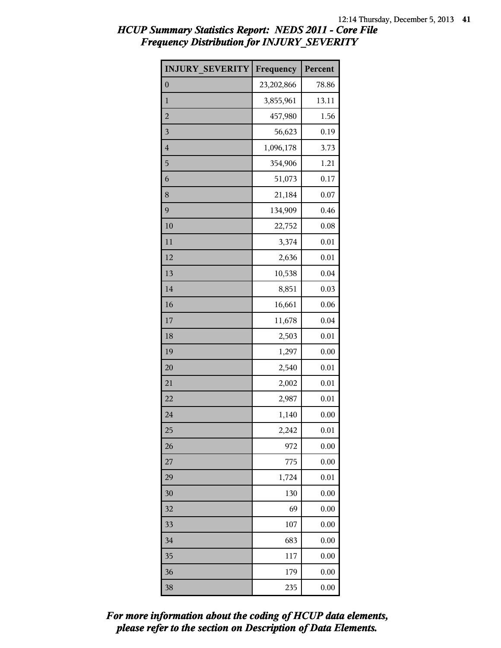| <b>INJURY SEVERITY</b> | Frequency  | Percent |
|------------------------|------------|---------|
| $\boldsymbol{0}$       | 23,202,866 | 78.86   |
| $\mathbf{1}$           | 3,855,961  | 13.11   |
| $\overline{c}$         | 457,980    | 1.56    |
| 3                      | 56,623     | 0.19    |
| $\overline{4}$         | 1,096,178  | 3.73    |
| 5                      | 354,906    | 1.21    |
| 6                      | 51,073     | 0.17    |
| 8                      | 21,184     | 0.07    |
| 9                      | 134,909    | 0.46    |
| 10                     | 22,752     | 0.08    |
| 11                     | 3,374      | 0.01    |
| 12                     | 2,636      | 0.01    |
| 13                     | 10,538     | 0.04    |
| 14                     | 8,851      | 0.03    |
| 16                     | 16,661     | 0.06    |
| 17                     | 11,678     | 0.04    |
| 18                     | 2,503      | 0.01    |
| 19                     | 1,297      | 0.00    |
| 20                     | 2,540      | 0.01    |
| 21                     | 2,002      | 0.01    |
| 22                     | 2,987      | 0.01    |
| 24                     | 1,140      | 0.00    |
| 25                     | 2,242      | 0.01    |
| 26                     | 972        | 0.00    |
| 27                     | 775        | 0.00    |
| 29                     | 1,724      | 0.01    |
| 30                     | 130        | 0.00    |
| 32                     | 69         | 0.00    |
| 33                     | 107        | 0.00    |
| 34                     | 683        | 0.00    |
| 35                     | 117        | 0.00    |
| 36                     | 179        | 0.00    |
| 38                     | 235        | 0.00    |

*please refer to the section on Description of Data Elements. For more information about the coding of HCUP data elements,*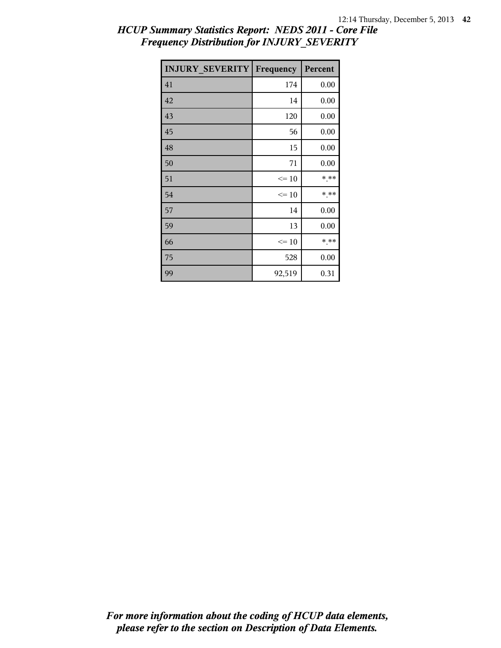| <b>INJURY_SEVERITY   Frequency</b> |           | Percent |
|------------------------------------|-----------|---------|
| 41                                 | 174       | 0.00    |
| 42                                 | 14        | 0.00    |
| 43                                 | 120       | 0.00    |
| 45                                 | 56        | 0.00    |
| 48                                 | 15        | 0.00    |
| 50                                 | 71        | 0.00    |
| 51                                 | $\leq 10$ | * **    |
| 54                                 | $\leq 10$ | * **    |
| 57                                 | 14        | 0.00    |
| 59                                 | 13        | 0.00    |
| 66                                 | $\leq 10$ | * **    |
| 75                                 | 528       | 0.00    |
| 99                                 | 92,519    | 0.31    |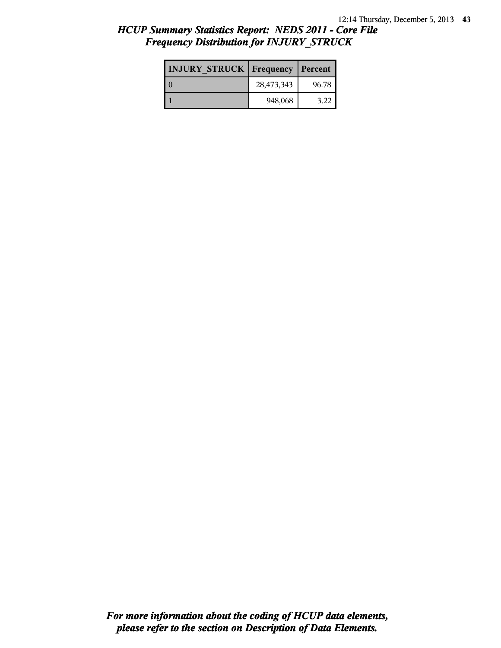| <b>INJURY STRUCK   Frequency</b> |            | Percent |
|----------------------------------|------------|---------|
|                                  | 28,473,343 | 96.78   |
|                                  | 948,068    | 3.22    |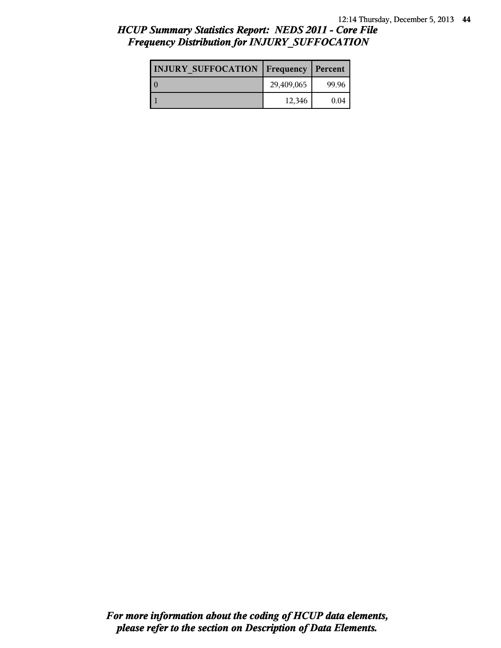# *HCUP Summary Statistics Report: NEDS 2011 - Core File Frequency Distribution for INJURY\_SUFFOCATION*

| <b>INJURY SUFFOCATION   Frequency   Percent</b> |            |       |
|-------------------------------------------------|------------|-------|
|                                                 | 29,409,065 | 99.96 |
|                                                 | 12,346     | 0.04  |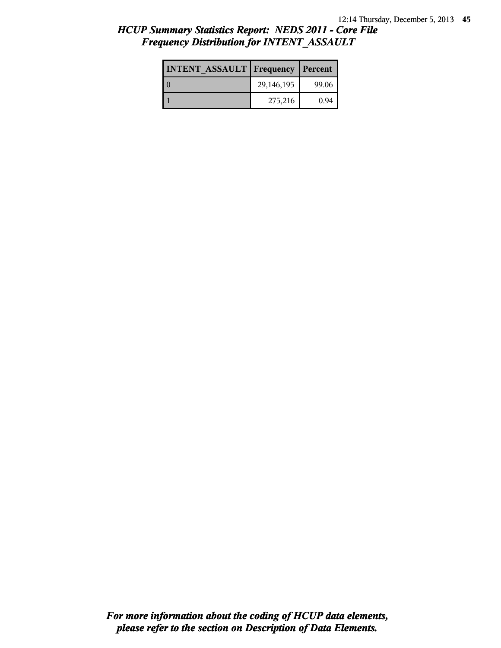| <b>INTENT ASSAULT Frequency</b> |            | Percent |
|---------------------------------|------------|---------|
|                                 | 29,146,195 | 99.06   |
|                                 | 275,216    | 0.94    |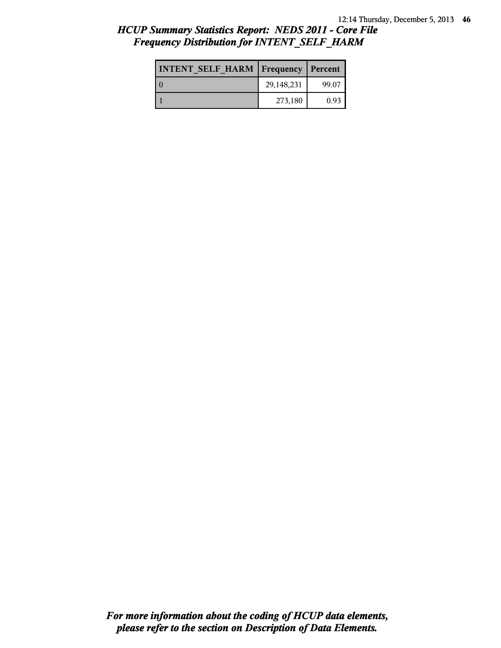| <b>INTENT SELF HARM   Frequency   Percent</b> |            |       |
|-----------------------------------------------|------------|-------|
| l 0                                           | 29,148,231 | 99.07 |
|                                               | 273,180    | 0.93  |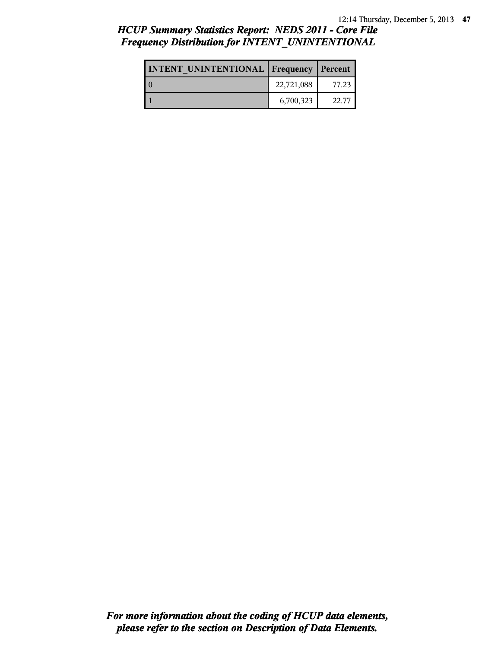# *HCUP Summary Statistics Report: NEDS 2011 - Core File Frequency Distribution for INTENT\_UNINTENTIONAL*

| <b>INTENT UNINTENTIONAL   Frequency   Percent</b> |            |       |
|---------------------------------------------------|------------|-------|
|                                                   | 22,721,088 | 77.23 |
|                                                   | 6,700,323  | 22.77 |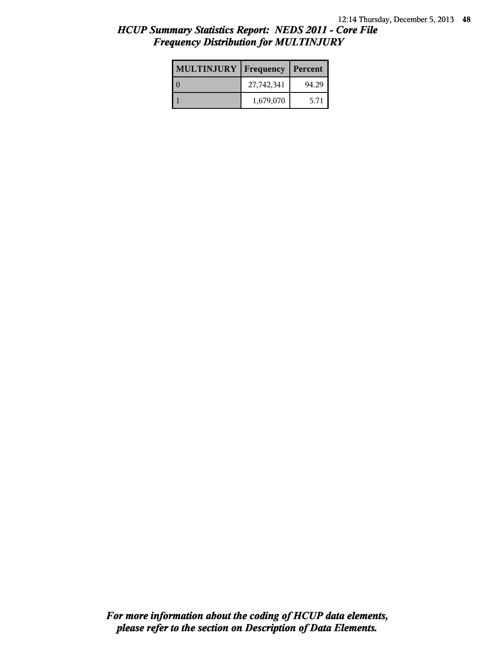| <b>MULTINJURY</b> | Frequency  | Percent |
|-------------------|------------|---------|
|                   | 27,742,341 | 94.29   |
|                   | 1,679,070  | 5.71    |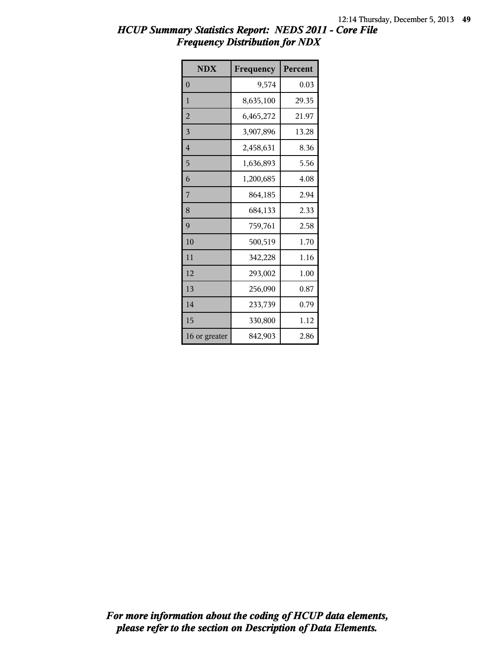| <b>NDX</b>     | Frequency | Percent |
|----------------|-----------|---------|
| $\overline{0}$ | 9,574     | 0.03    |
| 1              | 8,635,100 | 29.35   |
| $\overline{2}$ | 6,465,272 | 21.97   |
| 3              | 3,907,896 | 13.28   |
| $\overline{4}$ | 2,458,631 | 8.36    |
| 5              | 1,636,893 | 5.56    |
| 6              | 1,200,685 | 4.08    |
| 7              | 864,185   | 2.94    |
| 8              | 684,133   | 2.33    |
| 9              | 759,761   | 2.58    |
| 10             | 500,519   | 1.70    |
| 11             | 342,228   | 1.16    |
| 12             | 293,002   | 1.00    |
| 13             | 256,090   | 0.87    |
| 14             | 233,739   | 0.79    |
| 15             | 330,800   | 1.12    |
| 16 or greater  | 842,903   | 2.86    |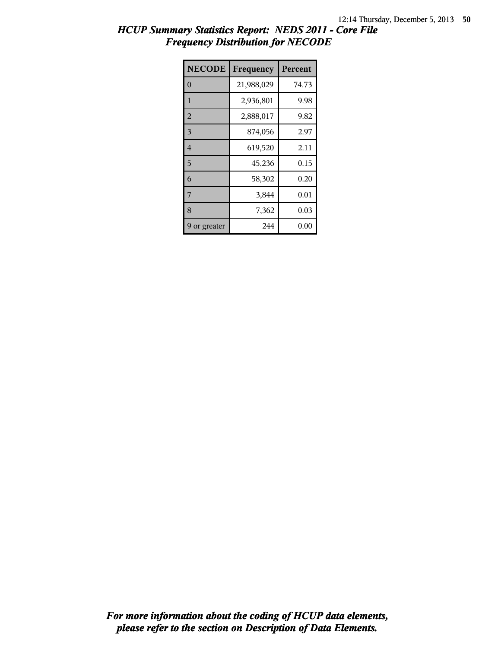| <b>NECODE</b>  | Frequency  | Percent |
|----------------|------------|---------|
| $\theta$       | 21,988,029 | 74.73   |
| $\mathbf{1}$   | 2,936,801  | 9.98    |
| $\overline{2}$ | 2,888,017  | 9.82    |
| 3              | 874,056    | 2.97    |
| $\overline{4}$ | 619,520    | 2.11    |
| 5              | 45,236     | 0.15    |
| 6              | 58,302     | 0.20    |
| 7              | 3,844      | 0.01    |
| 8              | 7,362      | 0.03    |
| or greater     | 244        | 0.00    |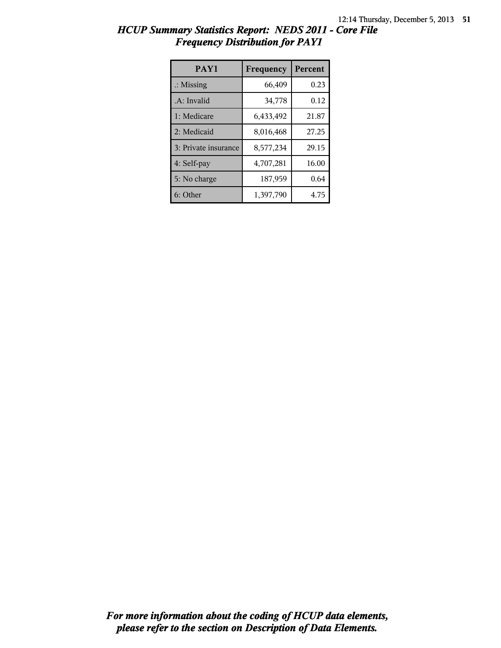| PAY1                 | Frequency | Percent |
|----------------------|-----------|---------|
| $\therefore$ Missing | 66,409    | 0.23    |
| .A: Invalid          | 34,778    | 0.12    |
| 1: Medicare          | 6,433,492 | 21.87   |
| 2: Medicaid          | 8,016,468 | 27.25   |
| 3: Private insurance | 8,577,234 | 29.15   |
| 4: Self-pay          | 4,707,281 | 16.00   |
| 5: No charge         | 187,959   | 0.64    |
| 6: Other             | 1,397,790 | 4.75    |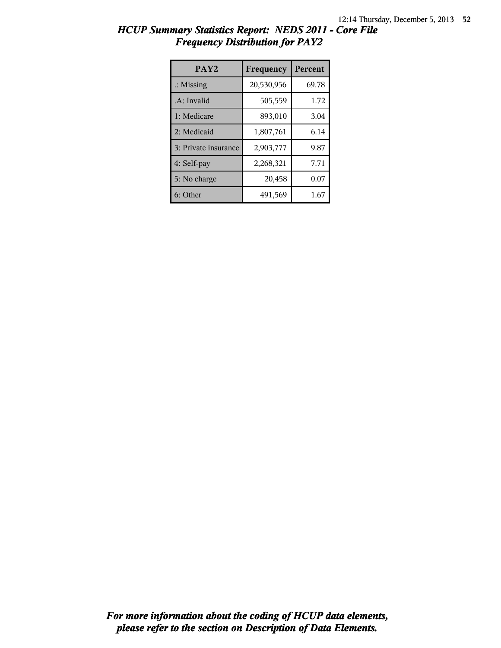| PAY <sub>2</sub>     | Frequency  | Percent |
|----------------------|------------|---------|
| $\therefore$ Missing | 20,530,956 | 69.78   |
| .A: Invalid          | 505,559    | 1.72    |
| 1: Medicare          | 893,010    | 3.04    |
| 2: Medicaid          | 1,807,761  | 6.14    |
| 3: Private insurance | 2,903,777  | 9.87    |
| 4: Self-pay          | 2,268,321  | 7.71    |
| 5: No charge         | 20,458     | 0.07    |
| 6: Other             | 491,569    | 1.67    |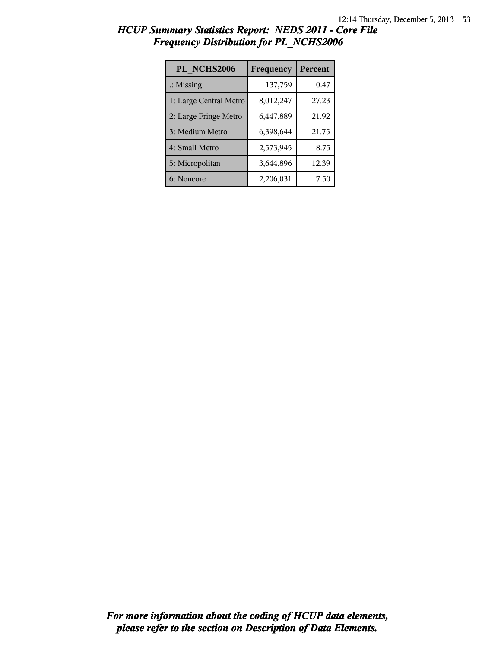| PL NCHS2006            | Frequency | Percent |
|------------------------|-----------|---------|
| $\therefore$ Missing   | 137,759   | 0.47    |
| 1: Large Central Metro | 8,012,247 | 27.23   |
| 2: Large Fringe Metro  | 6,447,889 | 21.92   |
| 3: Medium Metro        | 6,398,644 | 21.75   |
| 4: Small Metro         | 2,573,945 | 8.75    |
| 5: Micropolitan        | 3,644,896 | 12.39   |
| 6: Noncore             | 2,206,031 | 7.50    |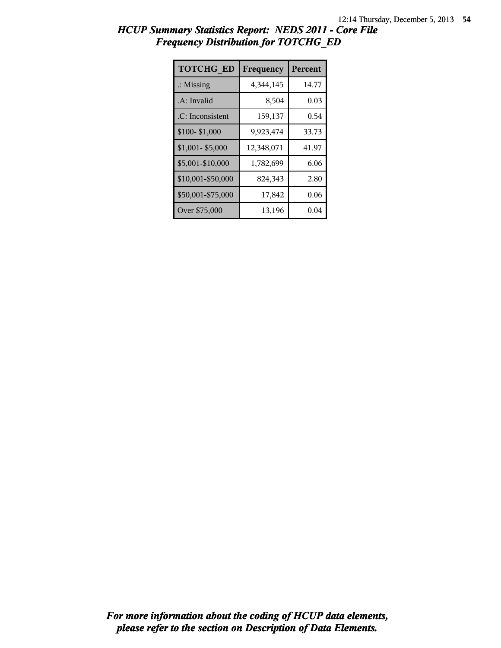| HCUP Summary Statistics Report: NEDS 2011 - Core File |  |
|-------------------------------------------------------|--|
| <b>Frequency Distribution for TOTCHG ED</b>           |  |

| <b>TOTCHG ED</b>     | Frequency  | Percent |
|----------------------|------------|---------|
| $\therefore$ Missing | 4,344,145  | 14.77   |
| .A: Invalid          | 8,504      | 0.03    |
| .C: Inconsistent     | 159,137    | 0.54    |
| \$100-\$1,000        | 9,923,474  | 33.73   |
| \$1,001-\$5,000      | 12,348,071 | 41.97   |
| \$5,001-\$10,000     | 1,782,699  | 6.06    |
| \$10,001-\$50,000    | 824,343    | 2.80    |
| \$50,001-\$75,000    | 17,842     | 0.06    |
| Over \$75,000        | 13,196     | 0.04    |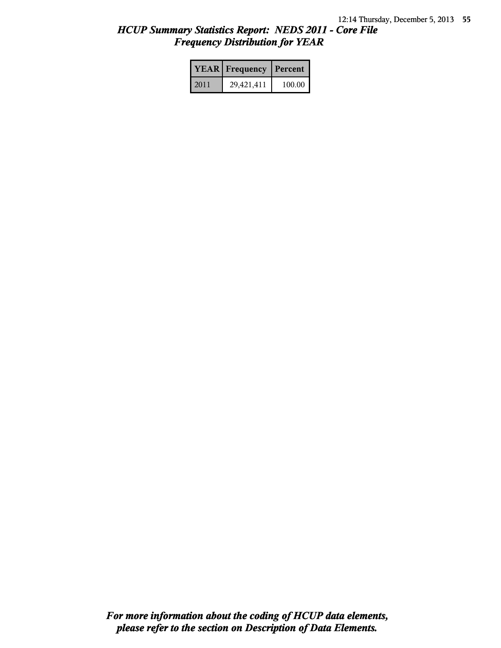|      | <b>YEAR</b> Frequency | Percent |  |
|------|-----------------------|---------|--|
| 2011 | 29,421,411            | 100.00  |  |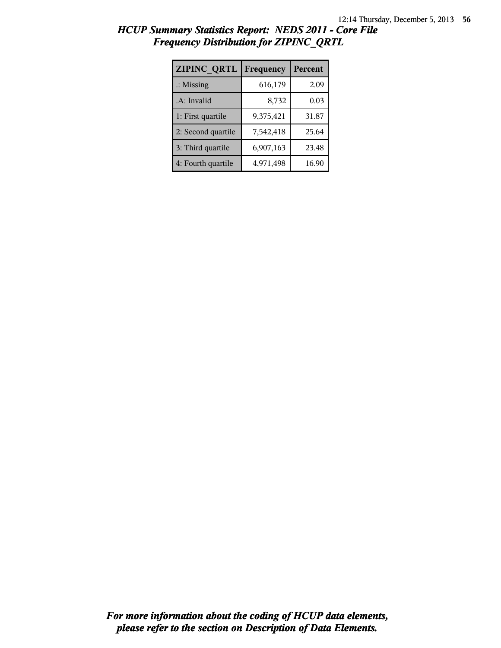| ZIPINC QRTL          | Frequency | Percent |
|----------------------|-----------|---------|
| $\therefore$ Missing | 616,179   | 2.09    |
| .A: Invalid          | 8,732     | 0.03    |
| 1: First quartile    | 9,375,421 | 31.87   |
| 2: Second quartile   | 7,542,418 | 25.64   |
| 3: Third quartile    | 6,907,163 | 23.48   |
| 4: Fourth quartile   | 4,971,498 | 16.90   |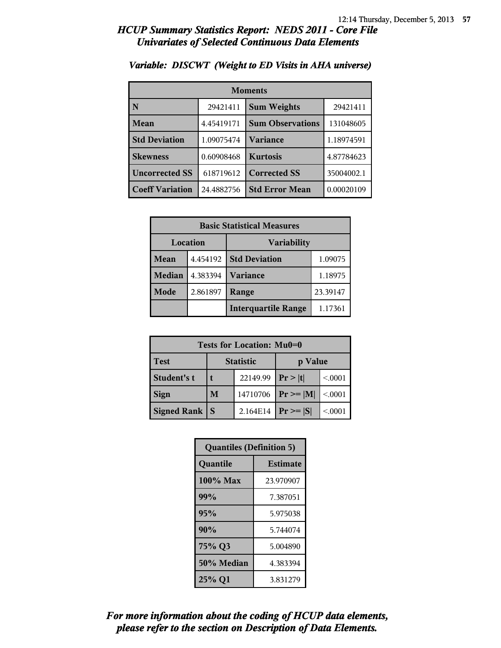| <b>Moments</b>         |            |                                |            |
|------------------------|------------|--------------------------------|------------|
| N                      | 29421411   | <b>Sum Weights</b><br>29421411 |            |
| Mean                   | 4.45419171 | <b>Sum Observations</b>        | 131048605  |
| <b>Std Deviation</b>   | 1.09075474 | Variance                       | 1.18974591 |
| <b>Skewness</b>        | 0.60908468 | <b>Kurtosis</b>                | 4.87784623 |
| <b>Uncorrected SS</b>  | 618719612  | <b>Corrected SS</b>            | 35004002.1 |
| <b>Coeff Variation</b> | 24.4882756 | <b>Std Error Mean</b>          | 0.00020109 |

#### *Variable: DISCWT (Weight to ED Visits in AHA universe)*

| <b>Basic Statistical Measures</b> |          |                            |          |
|-----------------------------------|----------|----------------------------|----------|
| Location<br><b>Variability</b>    |          |                            |          |
| Mean                              | 4.454192 | <b>Std Deviation</b>       | 1.09075  |
| <b>Median</b>                     | 4.383394 | Variance                   | 1.18975  |
| Mode                              | 2.861897 | Range                      | 23.39147 |
|                                   |          | <b>Interquartile Range</b> | 1.17361  |

| Tests for Location: Mu0=0 |                             |          |                 |         |  |
|---------------------------|-----------------------------|----------|-----------------|---------|--|
| <b>Test</b>               | <b>Statistic</b><br>p Value |          |                 |         |  |
| Student's t               |                             | 22149.99 | Pr >  t         | < 0001  |  |
| <b>Sign</b>               | 14710706<br>M               |          | $ Pr \ge =  M $ | < .0001 |  |
| Signed Rank               |                             | 2.164E14 | $Pr \geq  S $   | < 0.001 |  |

| <b>Quantiles (Definition 5)</b> |                 |  |  |
|---------------------------------|-----------------|--|--|
| Quantile                        | <b>Estimate</b> |  |  |
| 100% Max                        | 23.970907       |  |  |
| 99%                             | 7.387051        |  |  |
| 95%                             | 5.975038        |  |  |
| 90%                             | 5.744074        |  |  |
| 75% Q3<br>5.004890              |                 |  |  |
| 50% Median<br>4.383394          |                 |  |  |
| 25% Q1                          | 3.831279        |  |  |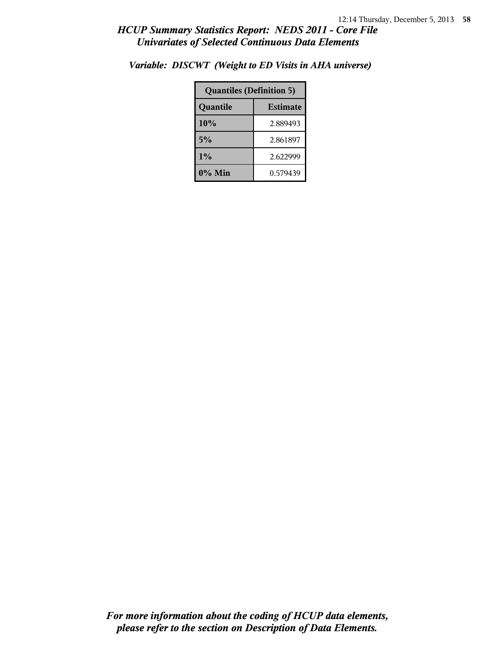| <b>Quantiles (Definition 5)</b> |          |  |
|---------------------------------|----------|--|
| <b>Estimate</b><br>Quantile     |          |  |
| 10%                             | 2.889493 |  |
| 5%                              | 2.861897 |  |
| 1%                              | 2.622999 |  |
| $0\%$ Min                       | 0.579439 |  |

*Variable: DISCWT (Weight to ED Visits in AHA universe)*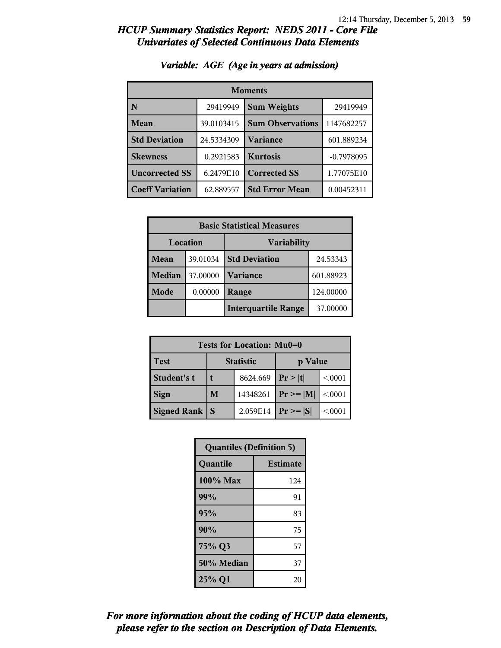| <b>Moments</b>         |            |                         |              |  |
|------------------------|------------|-------------------------|--------------|--|
| N                      | 29419949   | <b>Sum Weights</b>      | 29419949     |  |
| Mean                   | 39.0103415 | <b>Sum Observations</b> | 1147682257   |  |
| <b>Std Deviation</b>   | 24.5334309 | <b>Variance</b>         | 601.889234   |  |
| <b>Skewness</b>        | 0.2921583  | <b>Kurtosis</b>         | $-0.7978095$ |  |
| <b>Uncorrected SS</b>  | 6.2479E10  | <b>Corrected SS</b>     | 1.77075E10   |  |
| <b>Coeff Variation</b> | 62.889557  | <b>Std Error Mean</b>   | 0.00452311   |  |

#### *Variable: AGE (Age in years at admission)*

| <b>Basic Statistical Measures</b>     |          |                            |           |  |
|---------------------------------------|----------|----------------------------|-----------|--|
| <b>Location</b><br><b>Variability</b> |          |                            |           |  |
| Mean                                  | 39.01034 | <b>Std Deviation</b>       | 24.53343  |  |
| <b>Median</b>                         | 37.00000 | <b>Variance</b>            | 601.88923 |  |
| Mode                                  | 0.00000  | Range                      | 124.00000 |  |
|                                       |          | <b>Interquartile Range</b> | 37.00000  |  |

| Tests for Location: Mu0=0 |                             |          |               |          |  |
|---------------------------|-----------------------------|----------|---------------|----------|--|
| <b>Test</b>               | <b>Statistic</b><br>p Value |          |               |          |  |
| Student's t               |                             | 8624.669 | Pr >  t       | < 0001   |  |
| <b>Sign</b>               | 14348261<br>M               |          | $Pr \geq  M $ | < 0001   |  |
| Signed Rank               |                             | 2.059E14 | $Pr \geq  S $ | < 0.0001 |  |

| <b>Quantiles (Definition 5)</b> |                 |  |
|---------------------------------|-----------------|--|
| Quantile                        | <b>Estimate</b> |  |
| 100% Max                        | 124             |  |
| 99%                             | 91              |  |
| 95%                             | 83              |  |
| 90%                             | 75              |  |
| 75% Q3                          | 57              |  |
| 50% Median                      | 37              |  |
| 25% Q1                          | 20              |  |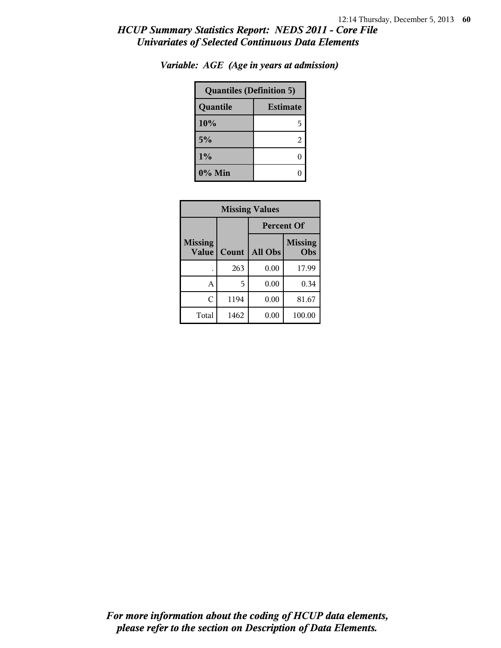| <b>Quantiles (Definition 5)</b> |   |  |
|---------------------------------|---|--|
| <b>Estimate</b><br>Quantile     |   |  |
| 10%                             | 5 |  |
| 5%                              | 2 |  |
| 1%                              |   |  |
| 0% Min                          |   |  |

*Variable: AGE (Age in years at admission)*

| <b>Missing Values</b>          |       |                                  |        |  |
|--------------------------------|-------|----------------------------------|--------|--|
|                                |       | <b>Percent Of</b>                |        |  |
| <b>Missing</b><br><b>Value</b> | Count | <b>Missing</b><br>All Obs<br>Obs |        |  |
|                                | 263   | 0.00                             | 17.99  |  |
| A                              | 5     | 0.00                             | 0.34   |  |
| C                              | 1194  | 0.00                             | 81.67  |  |
| Total                          | 1462  | 0.00                             | 100.00 |  |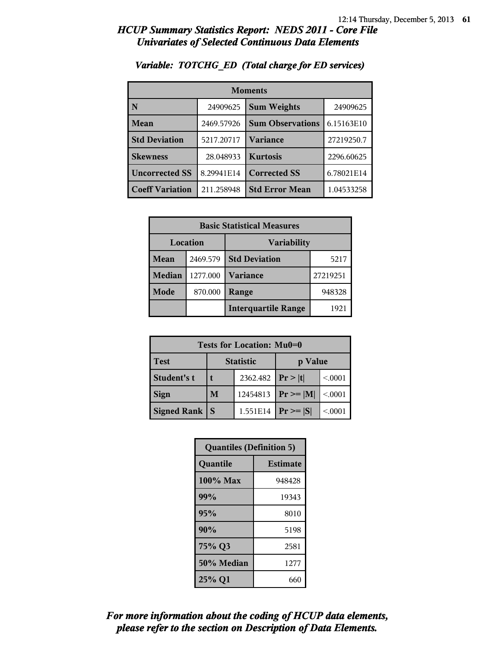| <b>Moments</b>         |            |                         |            |  |
|------------------------|------------|-------------------------|------------|--|
| N                      | 24909625   | <b>Sum Weights</b>      | 24909625   |  |
| Mean                   | 2469.57926 | <b>Sum Observations</b> | 6.15163E10 |  |
| <b>Std Deviation</b>   | 5217.20717 | Variance                | 27219250.7 |  |
| <b>Skewness</b>        | 28.048933  | <b>Kurtosis</b>         | 2296.60625 |  |
| <b>Uncorrected SS</b>  | 8.29941E14 | <b>Corrected SS</b>     | 6.78021E14 |  |
| <b>Coeff Variation</b> | 211.258948 | <b>Std Error Mean</b>   | 1.04533258 |  |

#### *Variable: TOTCHG\_ED (Total charge for ED services)*

| <b>Basic Statistical Measures</b> |          |                            |          |  |
|-----------------------------------|----------|----------------------------|----------|--|
| Location<br><b>Variability</b>    |          |                            |          |  |
| Mean                              | 2469.579 | <b>Std Deviation</b>       | 5217     |  |
| <b>Median</b>                     | 1277.000 | <b>Variance</b>            | 27219251 |  |
| <b>Mode</b>                       | 870.000  | Range                      | 948328   |  |
|                                   |          | <b>Interquartile Range</b> | 1921     |  |

| Tests for Location: Mu0=0 |                             |          |                |         |  |
|---------------------------|-----------------------------|----------|----------------|---------|--|
| <b>Test</b>               | <b>Statistic</b><br>p Value |          |                |         |  |
| Student's t               |                             | 2362.482 | Pr >  t        | < 0.001 |  |
| <b>Sign</b>               | 12454813<br>M               |          | $Pr \ge =  M $ | < 0001  |  |
| <b>Signed Rank</b>        | $Pr \geq  S $               | < 0001   |                |         |  |

| <b>Quantiles (Definition 5)</b> |                 |  |
|---------------------------------|-----------------|--|
| Quantile                        | <b>Estimate</b> |  |
| 100% Max                        | 948428          |  |
| 99%                             | 19343           |  |
| 95%                             | 8010            |  |
| 90%                             | 5198            |  |
| 75% Q3                          | 2581            |  |
| 50% Median                      | 1277            |  |
| 25% Q1                          | 660             |  |